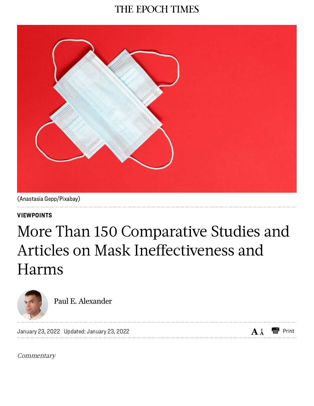# THE EPOCH TIMES



(Anastasia Gepp/Pixabay)

[VIEWPOINTS](https://www.theepochtimes.com/c-viewpoints)

# More Than 150 Comparative Studies and Articles on Mask Ineffectiveness and Harms



Paul E. [Alexander](https://www.theepochtimes.com/author-paul-e-alexander)

January 23, 2022 Updated: January 23, 2022

 $A_A^*$   $\blacksquare$  Print

**Commentary**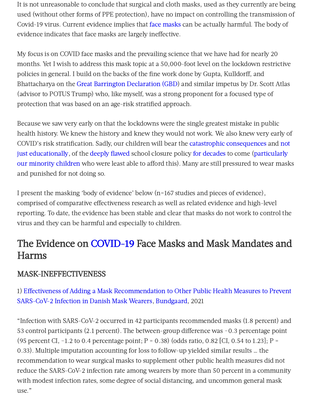It is not unreasonable to conclude that surgical and cloth masks, used as they currently are being used (without other forms of PPE protection), have no impact on controlling the transmission of Covid-19 virus. Current evidence implies that face [masks](https://www.theepochtimes.com/t-face-masks) can be actually harmful. The body of evidence indicates that face masks are largely ineffective.

My focus is on COVID face masks and the prevailing science that we have had for nearly 20 months. Yet I wish to address this mask topic at a 50,000-foot level on the lockdown restrictive policies in general. I build on the backs of the fine work done by Gupta, Kulldorff, and Bhattacharya on the Great Barrington [Declaration](https://gbdeclaration.org/) (GBD) and similar impetus by Dr. Scott Atlas (advisor to POTUS Trump) who, like myself, was a strong proponent for a focused type of protection that was based on an age-risk stratified approach.

Because we saw very early on that the lockdowns were the single greatest mistake in public health history. We knew the history and knew they would not work. We also knew very early of COVID's risk stratification. Sadly, our children will bear the [catastrophic](https://www.upi.com/Top_News/World-News/2021/02/01/Study-says-COVID-19-school-closures-will-cost-children-future-income/7531612190182/) [consequences](https://www.psychologytoday.com/us/blog/hope-resilience/202006/the-impact-prolonged-school-closures-children) and not just [educationally,](https://www.wsj.com/articles/student-test-scores-drop-in-math-since-covid-19-pandemic-11605974400#:~:text=American%20children%20started%20school%20this,pandemic%20shut%20schools%20in%20March.) of the deeply [flawed](https://www.independent.co.uk/news/uk/home-news/coronavirus-child-abuse-domestic-violence-family-charity-a9519186.html) school closure policy for [decades](https://data.unicef.org/covid-19-and-children/) to come (particularly our minority children who were least able to afford this). Many are still [pressured](https://www.aier.org/article/the-catastrophic-impact-of-covid-forced-societal-lockdowns/) to wear masks and punished for not doing so.

I present the masking 'body of evidence' below (n=167 studies and pieces of evidence), comprised of comparative effectiveness research as well as related evidence and high-level reporting. To date, the evidence has been stable and clear that masks do not work to control the virus and they can be harmful and especially to children.

# The Evidence on [COVID-19](https://www.theepochtimes.com/t-covid-19) Face Masks and Mask Mandates and Harms

# MASK-INEFFECTIVENESS

# 1) Effectiveness of Adding a Mask Recommendation to Other Public Health Measures to Prevent [SARS-CoV-2](https://www.acpjournals.org/doi/10.7326/M20-6817) Infection in Danish Mask Wearers, [Bundgaard,](https://www.acpjournals.org/doi/10.7326/M20-6817) 2021

"Infection with SARS-CoV-2 occurred in 42 participants recommended masks (1.8 percent) and 53 control participants (2.1 percent). The between-group difference was −0.3 percentage point (95 percent CI,  $-1.2$  to 0.4 percentage point; P = 0.38) (odds ratio, 0.82 [CI, 0.54 to 1.23]; P = 0.33). Multiple imputation accounting for loss to follow-up yielded similar results … the recommendation to wear surgical masks to supplement other public health measures did not reduce the SARS-CoV-2 infection rate among wearers by more than 50 percent in a community with modest infection rates, some degree of social distancing, and uncommon general mask use."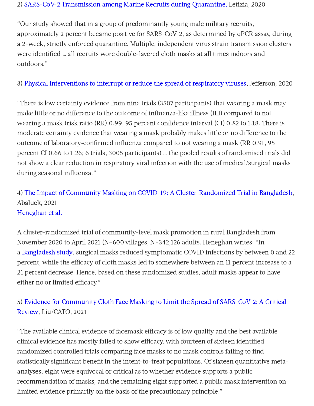#### 2) SARS-CoV-2 [Transmission](https://www.nejm.org/doi/full/10.1056/NEJMoa2029717) among Marine Recruits during Quarantine, Letizia, 2020

"Our study showed that in a group of predominantly young male military recruits, approximately 2 percent became positive for SARS-CoV-2, as determined by qPCR assay, during a 2-week, strictly enforced quarantine. Multiple, independent virus strain transmission clusters were identified … all recruits wore double-layered cloth masks at all times indoors and outdoors."

#### 3) Physical [interventions](https://www.cochranelibrary.com/cdsr/doi/10.1002/14651858.CD006207.pub5/full) to interrupt or reduce the spread of respiratory viruses, Jefferson, 2020

"There is low certainty evidence from nine trials (3507 participants) that wearing a mask may make little or no difference to the outcome of influenza-like illness (ILI) compared to not wearing a mask (risk ratio (RR) 0.99, 95 percent confidence interval (CI) 0.82 to 1.18. There is moderate certainty evidence that wearing a mask probably makes little or no difference to the outcome of laboratory-confirmed influenza compared to not wearing a mask (RR 0.91, 95 percent CI 0.66 to 1.26; 6 trials; 3005 participants) … the pooled results of randomised trials did not show a clear reduction in respiratory viral infection with the use of medical/surgical masks during seasonal influenza."

# 4) The Impact of Community Masking on COVID-19: A [Cluster-Randomized](https://www.poverty-action.org/sites/default/files/publications/Mask_RCT____Symptomatic_Seropositivity_083121.pdf) Trial in Bangladesh, Abaluck, 2021 [Heneghan](https://thefederalist.com/2021/09/15/stanford-faculty-smear-professor-who-accurately-summarized-data-on-masks/) et al.

A cluster-randomized trial of community-level mask promotion in rural Bangladesh from November 2020 to April 2021 (N=600 villages, N=342,126 adults. Heneghan writes: "In a [Bangladesh](https://www.poverty-action.org/sites/default/files/publications/Mask_RCT____Symptomatic_Seropositivity_083121.pdf) study, surgical masks reduced symptomatic COVID infections by between 0 and 22 percent, while the efficacy of cloth masks led to somewhere between an 11 percent increase to a 21 percent decrease. Hence, based on these randomized studies, adult masks appear to have  $e$ ither no or limited efficacy."

# 5) Evidence for Community Cloth Face Masking to Limit the Spread of SARS-CoV-2: A Critical Review, [Liu/CATO,](https://www.cato.org/sites/cato.org/files/2021-11/working-paper-64.pdf) 2021

"The available clinical evidence of facemask efficacy is of low quality and the best available clinical evidence has mostly failed to show efficacy, with fourteen of sixteen identified randomized controlled trials comparing face masks to no mask controls failing to find statistically significant benefit in the intent-to-treat populations. Of sixteen quantitative metaanalyses, eight were equivocal or critical as to whether evidence supports a public recommendation of masks, and the remaining eight supported a public mask intervention on limited evidence primarily on the basis of the precautionary principle."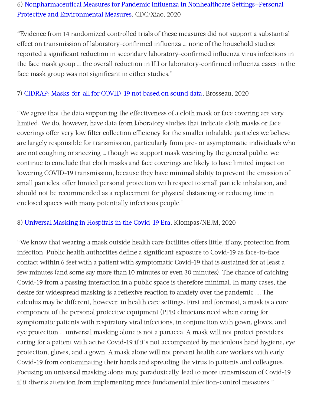# 6) Nonpharmaceutical Measures for Pandemic Influenza in Nonhealthcare Settings—Personal Protective and [Environmental](https://wwwnc.cdc.gov/eid/article/26/5/19-0994_article) Measures, CDC/Xiao, 2020

"Evidence from 14 randomized controlled trials of these measures did not support a substantial effect on transmission of laboratory-confirmed influenza ... none of the household studies reported a significant reduction in secondary laboratory-confirmed influenza virus infections in the face mask group … the overall reduction in ILI or laboratory-confirmed influenza cases in the face mask group was not significant in either studies."

#### 7) CIDRAP: [Masks-for-all](https://www.cidrap.umn.edu/news-perspective/2020/04/commentary-masks-all-covid-19-not-based-sound-data) for COVID-19 not based on sound data, Brosseau, 2020

"We agree that the data supporting the effectiveness of a cloth mask or face covering are very limited. We do, however, have data from laboratory studies that indicate cloth masks or face coverings offer very low filter collection efficiency for the smaller inhalable particles we believe are largely responsible for transmission, particularly from pre- or asymptomatic individuals who are not coughing or sneezing … though we support mask wearing by the general public, we continue to conclude that cloth masks and face coverings are likely to have limited impact on lowering COVID-19 transmission, because they have minimal ability to prevent the emission of small particles, offer limited personal protection with respect to small particle inhalation, and should not be recommended as a replacement for physical distancing or reducing time in enclosed spaces with many potentially infectious people."

#### 8) [Universal](https://www.nejm.org/doi/full/10.1056/NEJMp2006372) Masking in Hospitals in the Covid-19 Era, Klompas/NEJM, 2020

"We know that wearing a mask outside health care facilities offers little, if any, protection from infection. Public health authorities define a significant exposure to Covid-19 as face-to-face contact within 6 feet with a patient with symptomatic Covid-19 that is sustained for at least a few minutes (and some say more than 10 minutes or even 30 minutes). The chance of catching Covid-19 from a passing interaction in a public space is therefore minimal. In many cases, the desire for widespread masking is a reflexive reaction to anxiety over the pandemic …. The calculus may be different, however, in health care settings. First and foremost, a mask is a core component of the personal protective equipment (PPE) clinicians need when caring for symptomatic patients with respiratory viral infections, in conjunction with gown, gloves, and eye protection … universal masking alone is not a panacea. A mask will not protect providers caring for a patient with active Covid-19 if it's not accompanied by meticulous hand hygiene, eye protection, gloves, and a gown. A mask alone will not prevent health care workers with early Covid-19 from contaminating their hands and spreading the virus to patients and colleagues. Focusing on universal masking alone may, paradoxically, lead to more transmission of Covid-19 if it diverts attention from implementing more fundamental infection-control measures."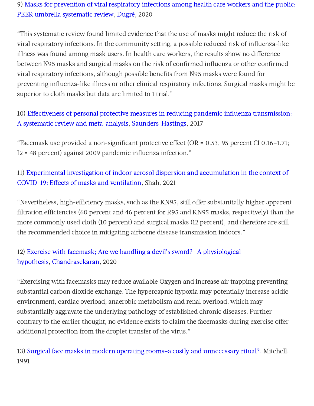# 9) Masks for prevention of viral respiratory infections among health care workers and the public: PEER umbrella [systematic](https://pubmed.ncbi.nlm.nih.gov/32675098/#affiliation-1) review, [Dugré](https://pubmed.ncbi.nlm.nih.gov/?term=Dugr%C3%A9+N&cauthor_id=32675098), 2020

"This systematic review found limited evidence that the use of masks might reduce the risk of viral respiratory infections. In the community setting, a possible reduced risk of influenza-like illness was found among mask users. In health care workers, the results show no difference between N95 masks and surgical masks on the risk of confirmed influenza or other confirmed viral respiratory infections, although possible benefits from N95 masks were found for preventing influenza-like illness or other clinical respiratory infections. Surgical masks might be superior to cloth masks but data are limited to 1 trial."

10) Effectiveness of personal protective measures in reducing pandemic influenza transmission: A systematic review and meta-analysis, [Saunders-Hastings,](https://www.sciencedirect.com/science/article/pii/S1755436516300858?via=ihub) 2017

"Facemask use provided a non-significant protective effect (OR =  $0.53$ ; 95 percent CI 0.16-1.71; I2 = 48 percent) against 2009 pandemic influenza infection."

# 11) Experimental investigation of indoor aerosol dispersion and accumulation in the context of COVID-19: Effects of masks and [ventilation,](https://aip.scitation.org/doi/10.1063/5.0057100) Shah, 2021

"Nevertheless, high-efficiency masks, such as the KN95, still offer substantially higher apparent filtration efficiencies (60 percent and 46 percent for R95 and KN95 masks, respectively) than the more commonly used cloth (10 percent) and surgical masks (12 percent), and therefore are still the recommended choice in mitigating airborne disease transmission indoors."

# 12) Exercise with facemask; Are we handling a devil's sword?- A physiological hypothesis, [Chandrasekaran,](https://pubmed.ncbi.nlm.nih.gov/32590322/) 2020

"Exercising with facemasks may reduce available Oxygen and increase air trapping preventing substantial carbon dioxide exchange. The hypercapnic hypoxia may potentially increase acidic environment, cardiac overload, anaerobic metabolism and renal overload, which may substantially aggravate the underlying pathology of established chronic diseases. Further contrary to the earlier thought, no evidence exists to claim the facemasks during exercise offer additional protection from the droplet transfer of the virus."

13) Surgical face masks in modern operating rooms–a costly and [unnecessary](https://pubmed.ncbi.nlm.nih.gov/1680906/) ritual?, Mitchell, 1991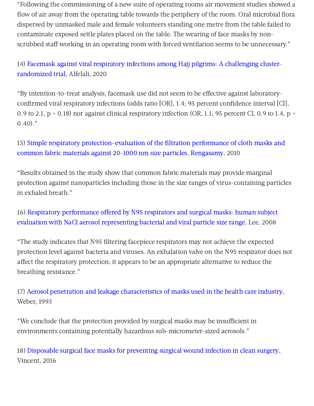"Following the commissioning of a new suite of operating rooms air movement studies showed a flow of air away from the operating table towards the periphery of the room. Oral microbial flora dispersed by unmasked male and female volunteers standing one metre from the table failed to contaminate exposed settle plates placed on the table. The wearing of face masks by nonscrubbed staff working in an operating room with forced ventilation seems to be unnecessary."

14) Facemask against viral respiratory infections among Hajj pilgrims: A challenging cluster[randomized](https://journals.plos.org/plosone/article?id=10.1371/journal.pone.0240287) trial, Alfelali, 2020

"By intention-to-treat analysis, facemask use did not seem to be effective against laboratoryconfirmed viral respiratory infections (odds ratio [OR], 1.4; 95 percent confidence interval [CI], 0.9 to 2.1,  $p = 0.18$ ) nor against clinical respiratory infection (OR, 1.1; 95 percent CI, 0.9 to 1.4,  $p =$  $0.40$ ."

15) Simple respiratory [protection–evaluation](https://pubmed.ncbi.nlm.nih.gov/20584862/) of the filtration performance of cloth masks and common fabric materials against 20-1000 nm size particles, [Rengasamy](https://pubmed.ncbi.nlm.nih.gov/?term=Rengasamy+S&cauthor_id=20584862), 2010

"Results obtained in the study show that common fabric materials may provide marginal protection against nanoparticles including those in the size ranges of virus-containing particles in exhaled breath."

16) Respiratory performance offered by N95 respirators and surgical masks: human subject evaluation with NaCl aerosol [representing](https://pubmed.ncbi.nlm.nih.gov/18326870/) bacterial and viral particle size range, Lee, 2008

"The study indicates that N95 filtering facepiece respirators may not achieve the expected protection level against bacteria and viruses. An exhalation valve on the N95 respirator does not affect the respiratory protection; it appears to be an appropriate alternative to reduce the breathing resistance."

17) Aerosol penetration and leakage [characteristics](https://pubmed.ncbi.nlm.nih.gov/8239046/) of masks used in the health care industry, Weber, 1993

"We conclude that the protection provided by surgical masks may be insufficient in environments containing potentially hazardous sub-micrometer-sized aerosols."

18) Disposable surgical face masks for [preventing](https://pubmed.ncbi.nlm.nih.gov/27115326/) surgical wound infection in clean surgery, Vincent, 2016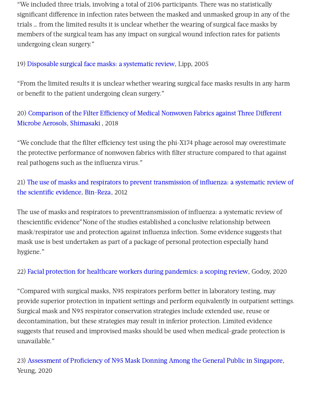"We included three trials, involving a total of 2106 participants. There was no statistically significant difference in infection rates between the masked and unmasked group in any of the trials … from the limited results it is unclear whether the wearing of surgical face masks by members of the surgical team has any impact on surgical wound infection rates for patients undergoing clean surgery."

#### 19) [Disposable](https://pubmed.ncbi.nlm.nih.gov/16295987/) surgical face masks: a systematic review, Lipp, 2005

"From the limited results it is unclear whether wearing surgical face masks results in any harm or benefit to the patient undergoing clean surgery."

# 20) Comparison of the Filter Efficiency of Medical Nonwoven Fabrics against Three Different Microbe Aerosols, [Shimasaki](https://pubmed.ncbi.nlm.nih.gov/29910210/) , 2018

"We conclude that the filter efficiency test using the phi-X174 phage aerosol may overestimate the protective performance of nonwoven fabrics with filter structure compared to that against real pathogens such as the influenza virus."

# 21) The use of masks and respirators to prevent transmission of influenza: a systematic review of the scientific evidence, [Bin-Reza,](https://pubmed.ncbi.nlm.nih.gov/22188875/) 2012

The use of masks and respirators to preventtransmission of influenza: a systematic review of thescientific evidence"None of the studies established a conclusive relationship between mask/respirator use and protection against influenza infection. Some evidence suggests that mask use is best undertaken as part of a package of personal protection especially hand hygiene."

# 22) Facial protection for healthcare workers during [pandemics:](https://pubmed.ncbi.nlm.nih.gov/32371574/) a scoping review, Godoy, 2020

"Compared with surgical masks, N95 respirators perform better in laboratory testing, may provide superior protection in inpatient settings and perform equivalently in outpatient settings. Surgical mask and N95 respirator conservation strategies include extended use, reuse or decontamination, but these strategies may result in inferior protection. Limited evidence suggests that reused and improvised masks should be used when medical-grade protection is unavailable."

23) [Assessment](https://jamanetwork.com/journals/jamanetworkopen/fullarticle/2766070) of Proficiency of N95 Mask Donning Among the General Public in Singapore, Yeung, 2020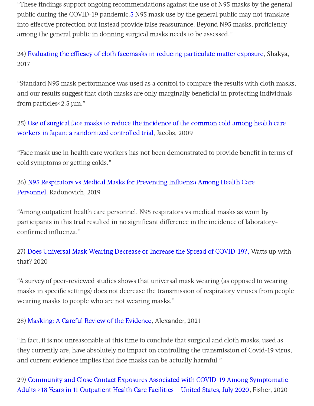"These findings support ongoing recommendations against the use of N95 masks by the general public during the COVID-19 pandemic[.5](https://jamanetwork.com/journals/jamanetworkopen/fullarticle/2766070#zld200059r5) N95 mask use by the general public may not translate into effective protection but instead provide false reassurance. Bevond N95 masks, proficiency among the general public in donning surgical masks needs to be assessed."

24) Evaluating the efficacy of cloth facemasks in reducing [particulate](https://pubmed.ncbi.nlm.nih.gov/27531371/) matter exposure, Shakya, 2017

"Standard N95 mask performance was used as a control to compare the results with cloth masks, and our results suggest that cloth masks are only marginally beneficial in protecting individuals from particles<2.5 μm."

25) Use of surgical face masks to reduce the incidence of the common cold among health care workers in Japan: a [randomized](https://pubmed.ncbi.nlm.nih.gov/19216002/) controlled trial, Jacobs, 2009

"Face mask use in health care workers has not been demonstrated to provide benefit in terms of cold symptoms or getting colds."

26) N95 Respirators vs Medical Masks for Preventing Influenza Among Health Care Personnel, [Radonovich,](https://jamanetwork.com/journals/jama/fullarticle/2749214) 2019

"Among outpatient health care personnel, N95 respirators vs medical masks as worn by participants in this trial resulted in no significant difference in the incidence of laboratoryconfirmed influenza."

27) Does Universal Mask Wearing Decrease or Increase the Spread of [COVID-19?,](https://wattsupwiththat.com/2020/07/25/does-universal-mask-wearing-decrease-or-increase-the-spread-of-covid-19/) Watts up with that? 2020

"A survey of peer-reviewed studies shows that universal mask wearing (as opposed to wearing masks in specific settings) does not decrease the transmission of respiratory viruses from people wearing masks to people who are not wearing masks."

28) [Masking:](https://www.aier.org/article/masking-a-careful-review-of-the-evidence/) A Careful Review of the Evidence, Alexander, 2021

"In fact, it is not unreasonable at this time to conclude that surgical and cloth masks, used as they currently are, have absolutely no impact on controlling the transmission of Covid-19 virus, and current evidence implies that face masks can be actually harmful."

29) Community and Close Contact Exposures Associated with COVID-19 Among Symptomatic Adults ≥18 Years in 11 [Outpatient](https://www.cdc.gov/mmwr/volumes/69/wr/pdfs/mm6936a5-H.pdf) Health Care Facilities — United States, July 2020, Fisher, 2020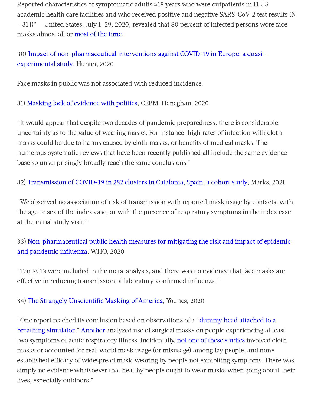Reported characteristics of symptomatic adults ≥18 years who were outpatients in 11 US academic health care facilities and who received positive and negative SARS-CoV-2 test results (N = 314)\* — United States, July 1–29, 2020, revealed that 80 percent of infected persons wore face masks almost all or [most](https://thefederalist.com/2020/10/12/cdc-study-finds-overwhelming-majority-of-people-getting-coronavirus-wore-masks/) of the time.

30) Impact of [non-pharmaceutical](https://www.medrxiv.org/content/10.1101/2020.05.01.20088260v1.full.pdf) interventions against COVID-19 in Europe: a quasiexperimental study, Hunter, 2020

Face masks in public was not associated with reduced incidence.

31) Masking lack of [evidence](https://www.cebm.net/covid-19/masking-lack-of-evidence-with-politics/) with politics, CEBM, Heneghan, 2020

"It would appear that despite two decades of pandemic preparedness, there is considerable uncertainty as to the value of wearing masks. For instance, high rates of infection with cloth masks could be due to harms caused by cloth masks, or benefits of medical masks. The numerous systematic reviews that have been recently published all include the same evidence base so unsurprisingly broadly reach the same conclusions."

32) [Transmission](https://www.thelancet.com/journals/laninf/article/PIIS1473-3099(20)30985-3/fulltext) of COVID-19 in 282 clusters in Catalonia, Spain: a cohort study, Marks, 2021

"We observed no association of risk of transmission with reported mask usage by contacts, with the age or sex of the index case, or with the presence of respiratory symptoms in the index case at the initial study visit."

# 33) [Non-pharmaceutical](https://apps.who.int/iris/bitstream/handle/10665/329438/9789241516839-eng.pdf?ua=1) public health measures for mitigating the risk and impact of epidemic and pandemic influenza, WHO, 2020

"Ten RCTs were included in the meta-analysis, and there was no evidence that face masks are effective in reducing transmission of laboratory-confirmed influenza."

34) The Strangely [Unscientific](https://www.aier.org/article/the-strangely-unscientific-masking-of-america/) Masking of America, Younes, 2020

"One report reached its conclusion based on observations of a "dummy head attached to a breathing simulator." [Another](https://www.acpjournals.org/doi/10.7326/0003-4819-151-7-200910060-00142) analyzed use of surgical masks on people [experiencing](https://www.sciencedirect.com/science/article/abs/pii/S0195670113000698) at least two symptoms of acute respiratory illness. Incidentally, not one of these [studies](https://www.ncbi.nlm.nih.gov/pmc/articles/PMC2190272/) involved cloth masks or accounted for real-world mask usage (or misusage) among lay people, and none established efficacy of widespread mask-wearing by people not exhibiting symptoms. There was simply no evidence whatsoever that healthy people ought to wear masks when going about their lives, especially outdoors."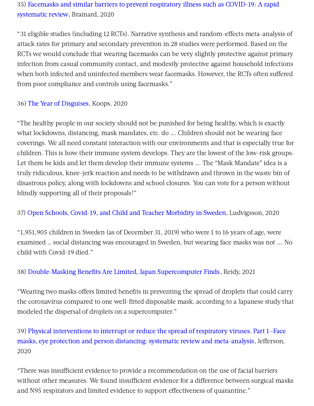# 35) Facemasks and similar barriers to prevent respiratory illness such as COVID-19: A rapid [systematic](https://www.medrxiv.org/content/10.1101/2020.04.01.20049528v1) review, Brainard, 2020

"31 eligible studies (including 12 RCTs). Narrative synthesis and random-effects meta-analysis of attack rates for primary and secondary prevention in 28 studies were performed. Based on the RCTs we would conclude that wearing facemasks can be very slightly protective against primary infection from casual community contact, and modestly protective against household infections when both infected and uninfected members wear facemasks. However, the RCTs often suffered from poor compliance and controls using facemasks."

#### 36) The Year of [Disguises](https://www.aier.org/article/the-year-of-disguises/), Koops, 2020

"The healthy people in our society should not be punished for being healthy, which is exactly what lockdowns, distancing, mask mandates, etc. do …. Children should not be wearing face coverings. We all need constant interaction with our environments and that is especially true for children. This is how their immune system develops. They are the lowest of the low-risk groups. Let them be kids and let them develop their immune systems …. The "Mask Mandate" idea is a truly ridiculous, knee-jerk reaction and needs to be withdrawn and thrown in the waste bin of disastrous policy, along with lockdowns and school closures. You can vote for a person without blindly supporting all of their proposals!"

#### 37) Open Schools, Covid-19, and Child and Teacher [Morbidity](https://www.nejm.org/doi/10.1056/NEJMc2026670) in Sweden, Ludvigsson, 2020

"1,951,905 children in Sweden (as of December 31, 2019) who were 1 to 16 years of age, were examined … social distancing was encouraged in Sweden, but wearing face masks was not …. No child with Covid-19 died."

#### 38) [Double-Masking](https://www.bloomberg.com/news/articles/2021-03-05/double-masking-benefits-are-limited-japan-supercomputer-finds) Benefits Are Limited, Japan Supercomputer Finds, Reidy, 2021

"Wearing two masks offers limited benefits in preventing the spread of droplets that could carry the coronavirus compared to one well-fitted disposable mask, according to a Japanese study that modeled the dispersal of droplets on a supercomputer."

# 39) Physical interventions to interrupt or reduce the spread of respiratory viruses. Part 1—Face masks, eye protection and person distancing: systematic review and [meta-analysis,](https://www.medrxiv.org/content/10.1101/2020.03.30.20047217v2) Jefferson, 2020

"There was insufficient evidence to provide a recommendation on the use of facial barriers without other measures. We found insufficient evidence for a difference between surgical masks and N95 respirators and limited evidence to support effectiveness of quarantine."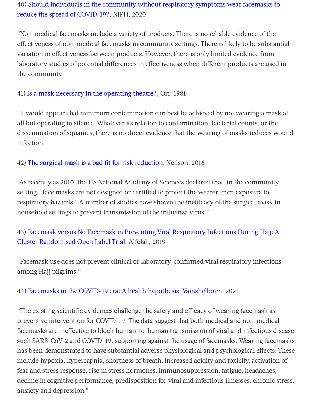# 40) Should individuals in the community without respiratory symptoms wear facemasks to reduce the spread of [COVID-19?,](https://www.fhi.no/globalassets/dokumenterfiler/rapporter/2020/should-individuals-in-the-community-without-respiratory-symptoms-wear-facemasks-to-reduce-the-spread-of-covid-19-report-2020.pdf) NIPH, 2020

"Non-medical facemasks include a variety of products. There is no reliable evidence of the effectiveness of non-medical facemasks in community settings. There is likely to be substantial variation in effectiveness between products. However, there is only limited evidence from laboratory studies of potential differences in effectiveness when different products are used in the community."

#### 41) Is a mask [necessary](https://www.ncbi.nlm.nih.gov/pmc/articles/PMC2493952/pdf/annrcse01509-0009.pdf) in the operating theatre?, Orr, 1981

"It would appear that minimum contamination can best be achieved by not wearing a mask at all but operating in silence. Whatever its relation to contamination, bacterial counts, or the dissemination of squames, there is no direct evidence that the wearing of masks reduces wound infection."

#### 42) The surgical mask is a bad fit for risk [reduction](https://www.ncbi.nlm.nih.gov/pmc/articles/PMC4868614/), Neilson, 2016

"As recently as 2010, the US National Academy of Sciences declared that, in the community setting, "face masks are not designed or certified to protect the wearer from exposure to respiratory hazards." A number of studies have shown the inefficacy of the surgical mask in household settings to prevent transmission of the influenza virus."

# 43) Facemask versus No Facemask in Preventing Viral Respiratory Infections During Hajj: A Cluster [Randomised](https://papers.ssrn.com/sol3/papers.cfm?abstract_id=3349234) Open Label Trial, Alfelali, 2019

"Facemask use does not prevent clinical or laboratory-confirmed viral respiratory infections among Haji pilgrims."

#### 44) Facemasks in the COVID-19 era: A health [hypothesis,](https://www.ncbi.nlm.nih.gov/pmc/articles/PMC7680614/) [Vainshelboim,](https://www.ncbi.nlm.nih.gov/pubmed/?term=Vainshelboim%20B%5BAuthor%5D&cauthor=true&cauthor_uid=33303303) 2021

"The existing scientific evidences challenge the safety and efficacy of wearing facemask as preventive intervention for COVID-19. The data suggest that both medical and non-medical facemasks are ineffective to block human-to-human transmission of viral and infectious disease such SARS-CoV-2 and COVID-19, supporting against the usage of facemasks. Wearing facemasks has been demonstrated to have substantial adverse physiological and psychological effects. These include hypoxia, hypercapnia, shortness of breath, increased acidity and toxicity, activation of fear and stress response, rise in stress hormones, immunosuppression, fatigue, headaches, decline in cognitive performance, predisposition for viral and infectious illnesses, chronic stress, anxiety and depression."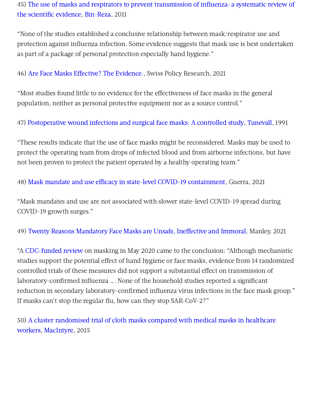45) The use of masks and respirators to prevent transmission of influenza: a systematic review of the scientific evidence, [Bin-Reza,](https://pubmed.ncbi.nlm.nih.gov/22188875/) 2011

"None of the studies established a conclusive relationship between mask/respirator use and protection against influenza infection. Some evidence suggests that mask use is best undertaken as part of a package of personal protection especially hand hygiene."

46) Are Face Masks Effective? The Evidence., Swiss Policy Research, 2021

"Most studies found little to no evidence for the effectiveness of face masks in the general population, neither as personal protective equipment nor as a source control."

47) [Postoperative](https://link.springer.com/article/10.1007/BF01658736) wound infections and surgical face masks: A controlled study, [Tunevall,](https://link.springer.com/article/10.1007/BF01658736#auth-Th__G_ran-Tunevall) 1991

"These results indicate that the use of face masks might be reconsidered. Masks may be used to protect the operating team from drops of infected blood and from airborne infections, but have not been proven to protect the patient operated by a healthy operating team."

48) Mask mandate and use efficacy in state-level COVID-19 [containment,](https://www.medrxiv.org/content/10.1101/2021.05.18.21257385v1) Guerra, 2021

"Mask mandates and use are not associated with slower state-level COVID-19 spread during COVID-19 growth surges."

49) Twenty Reasons [Mandatory](https://www.globalresearch.ca/twenty-reasons-mandatory-face-masks-are-unsafe-ineffective-and-immoral/5735171) Face Masks are Unsafe, Ineffective and Immoral, Manley, 2021

"A [CDC-funded](https://wwwnc.cdc.gov/eid/article/26/5/19-0994_article) review on masking in May 2020 came to the conclusion: "Although mechanistic studies support the potential effect of hand hygiene or face masks, evidence from 14 randomized controlled trials of these measures did not support a substantial effect on transmission of laboratory-confirmed influenza …. None of the household studies reported a significant reduction in secondary laboratory-confirmed influenza virus infections in the face mask group." If masks can't stop the regular flu, how can they stop SAR-CoV-2?"

50) A cluster randomised trial of cloth masks compared with medical masks in healthcare workers, [MacIntyre,](https://pubmed.ncbi.nlm.nih.gov/25903751/) 2015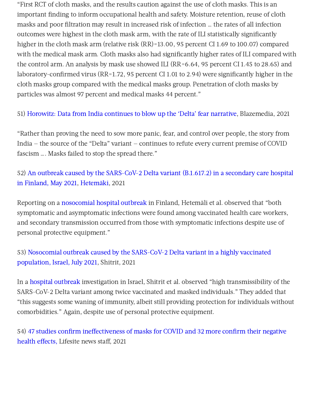"First RCT of cloth masks, and the results caution against the use of cloth masks. This is an important finding to inform occupational health and safety. Moisture retention, reuse of cloth masks and poor filtration may result in increased risk of infection … the rates of all infection outcomes were highest in the cloth mask arm, with the rate of ILI statistically significantly higher in the cloth mask arm (relative risk (RR)=13.00, 95 percent CI 1.69 to 100.07) compared with the medical mask arm. Cloth masks also had significantly higher rates of ILI compared with the control arm. An analysis by mask use showed ILI (RR=6.64, 95 percent CI 1.45 to 28.65) and laboratory-confirmed virus (RR=1.72, 95 percent CI 1.01 to 2.94) were significantly higher in the cloth masks group compared with the medical masks group. Penetration of cloth masks by particles was almost 97 percent and medical masks 44 percent."

51) [Horowitz:](https://www.theblaze.com/op-ed/horowitz-data-from-india-continues-to-blow-up-the-delta-fear-narrative?utm_source=theblaze-breaking&utm_medium=email&utm_campaign=20210722Trending-HorowitzIndiaDelta&utm_term=ACTIVE%20LIST%20-%20TheBlaze%20Breaking%20News) Data from India continues to blow up the 'Delta' fear narrative, Blazemedia, 2021

"Rather than proving the need to sow more panic, fear, and control over people, the story from India — the source of the "Delta" variant — continues to refute every current premise of COVID fascism …. Masks failed to stop the spread there."

52) An outbreak caused by the SARS-CoV-2 Delta variant (B.1.617.2) in a secondary care hospital in Finland, May 2021, [Hetemäki,](https://www.eurosurveillance.org/content/10.2807/1560-7917.ES.2021.26.30.2100636) 2021

Reporting on a [nosocomial](https://www.eurosurveillance.org/content/10.2807/1560-7917.ES.2021.26.30.2100636) hospital outbreak in Finland, Hetemäli et al. observed that "both symptomatic and asymptomatic infections were found among vaccinated health care workers, and secondary transmission occurred from those with symptomatic infections despite use of personal protective equipment."

53) Nosocomial outbreak caused by the SARS-CoV-2 Delta variant in a highly vaccinated [population,](https://www.eurosurveillance.org/content/10.2807/1560-7917.ES.2021.26.39.2100822#html_fulltext) Israel, July 2021, Shitrit, 2021

In a hospital [outbreak](https://www.eurosurveillance.org/content/10.2807/1560-7917.ES.2021.26.39.2100822#html_fulltext) investigation in Israel, Shitrit et al. observed "high transmissibility of the SARS-CoV-2 Delta variant among twice vaccinated and masked individuals." They added that "this suggests some waning of immunity, albeit still providing protection for individuals without comorbidities." Again, despite use of personal protective equipment.

54) 47 studies confirm ineffectiveness of masks for COVID and 32 more confirm their negative health effects. Lifesite news staff. 2021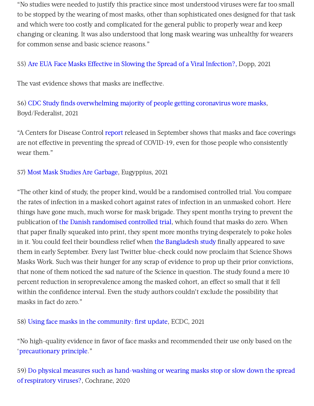"No studies were needed to justify this practice since most understood viruses were far too small to be stopped by the wearing of most masks, other than sophisticated ones designed for that task and which were too costly and complicated for the general public to properly wear and keep changing or cleaning. It was also understood that long mask wearing was unhealthy for wearers for common sense and basic science reasons."

#### 55) Are EUA Face Masks Effective in Slowing the Spread of a Viral [Infection?,](http://www.kathydopp.info/COVIDinfo/FaceMasks) Dopp, 2021

The vast evidence shows that masks are ineffective.

56) CDC Study finds [overwhelming](https://thefederalist.com/2020/10/12/cdc-study-finds-overwhelming-majority-of-people-getting-coronavirus-wore-masks/) majority of people getting coronavirus wore masks, Boyd/Federalist, 2021

"A Centers for Disease Control [report](https://www.cdc.gov/mmwr/volumes/69/wr/pdfs/mm6936a5-H.pdf) released in September shows that masks and face coverings are not effective in preventing the spread of COVID-19, even for those people who consistently wear them."

#### 57) Most Mask Studies Are [Garbage,](https://eugyppius.substack.com/p/most-mask-studies-are-garbage) Eugyppius, 2021

"The other kind of study, the proper kind, would be a randomised controlled trial. You compare the rates of infection in a masked cohort against rates of infection in an unmasked cohort. Here things have gone much, much worse for mask brigade. They spent months trying to prevent the publication of the Danish [randomised](https://pubmed.ncbi.nlm.nih.gov/33205991/) controlled trial, which found that masks do zero. When that paper finally squeaked into print, they spent more months trying desperately to poke holes in it. You could feel their boundless relief when the [Bangladesh](https://www.poverty-action.org/publication/impact-community-masking-covid-19-cluster-randomized-trial-bangladesh) study finally appeared to save them in early September. Every last Twitter blue-check could now proclaim that Science Shows Masks Work. Such was their hunger for any scrap of evidence to prop up their prior convictions, that none of them noticed the sad nature of the Science in question. The study found a mere 10 percent reduction in seroprevalence among the masked cohort, an effect so small that it fell within the confidence interval. Even the study authors couldn't exclude the possibility that masks in fact do zero."

58) Using face masks in the [community:](https://www.ecdc.europa.eu/sites/default/files/documents/covid-19-face-masks-community-first-update.pdf) first update, ECDC, 2021

"No high-quality evidence in favor of face masks and recommended their use only based on the '[precautionary](https://swprs.org/face-masks-evidence/) principle."

59) Do physical measures such as hand-washing or wearing masks stop or slow down the spread of [respiratory](https://www.cochrane.org/CD006207/ARI_do-physical-measures-such-hand-washing-or-wearing-masks-stop-or-slow-down-spread-respiratory-viruses) viruses?, Cochrane, 2020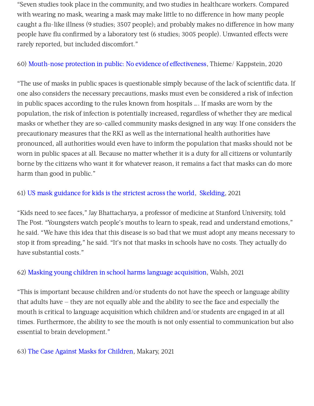"Seven studies took place in the community, and two studies in healthcare workers. Compared with wearing no mask, wearing a mask may make little to no difference in how many people caught a flu-like illness (9 studies: 3507 people); and probably makes no difference in how many people have flu confirmed by a laboratory test (6 studies: 3005 people). Unwanted effects were rarely reported, but included discomfort."

#### 60) Mouth-nose protection in public: No evidence of effectiveness, Thieme/ Kappstein, 2020

"The use of masks in public spaces is questionable simply because of the lack of scientific data. If one also considers the necessary precautions, masks must even be considered a risk of infection in public spaces according to the rules known from hospitals …. If masks are worn by the population, the risk of infection is potentially increased, regardless of whether they are medical masks or whether they are so-called community masks designed in any way. If one considers the precautionary measures that the RKI as well as the international health authorities have pronounced, all authorities would even have to inform the population that masks should not be worn in public spaces at all. Because no matter whether it is a duty for all citizens or voluntarily borne by the citizens who want it for whatever reason, it remains a fact that masks can do more harm than good in public."

#### 61) US mask [guidance](https://nypost.com/2021/10/02/us-mask-guidance-for-kids-is-the-strictest-across-the-world/) for kids is the strictest across the world, [Skelding](https://nypost.com/2021/10/02/us-mask-guidance-for-kids-is-the-strictest-across-the-world/), 2021

"Kids need to see faces," Jay Bhattacharya, a professor of medicine at Stanford University, told The Post. "Youngsters watch people's mouths to learn to speak, read and understand emotions," he said. "We have this idea that this disease is so bad that we must adopt any means necessary to stop it from spreading," he said. "It's not that masks in schools have no costs. They actually do have substantial costs."

#### 62) Masking young children in school harms language [acquisition,](https://www.americanthinker.com/blog/2021/09/masking_young_children_in_school_harms_language_acquisition.html) Walsh, 2021

"This is important because children and/or students do not have the speech or language ability that adults have — they are not equally able and the ability to see the face and especially the mouth is critical to language acquisition which children and/or students are engaged in at all times. Furthermore, the ability to see the mouth is not only essential to communication but also essential to brain development."

#### 63) The Case Against Masks for [Children](https://thehighwire.com/videos/do-masks-protect-kids-from-covid/), Makary, 2021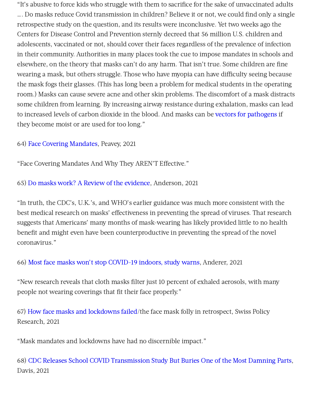"It's abusive to force kids who struggle with them to sacrifice for the sake of unvaccinated adults …. Do masks reduce Covid transmission in children? Believe it or not, we could find only a single retrospective study on the question, and its results were inconclusive. Yet two weeks ago the Centers for Disease Control and Prevention sternly decreed that 56 million U.S. children and adolescents, vaccinated or not, should cover their faces regardless of the prevalence of infection in their community. Authorities in many places took the cue to impose mandates in schools and elsewhere, on the theory that masks can't do any harm. That isn't true. Some children are fine wearing a mask, but others struggle. Those who have myopia can have difficulty seeing because the mask fogs their glasses. (This has long been a problem for medical students in the operating room.) Masks can cause severe acne and other skin problems. The discomfort of a mask distracts some children from learning. By increasing airway resistance during exhalation, masks can lead to increased levels of carbon dioxide in the blood. And masks can be vectors for [pathogens](https://www.sciencedirect.com/science/article/pii/S2214031X18300809) if they become moist or are used for too long."

#### 64) Face Covering [Mandates](https://rumble.com/vkyutx-face-covering-mandates-and-why-they-arent-effective.html), Peavey, 2021

"Face Covering Mandates And Why They AREN'T Effective."

#### 65) Do [masks](https://www.city-journal.org/do-masks-work-a-review-of-the-evidence) work? A Review of the [evidence,](https://www.city-journal.org/do-masks-work-a-review-of-the-evidence) Anderson, 2021

"In truth, the CDC's, U.K.'s, and WHO's earlier guidance was much more consistent with the best medical research on masks' effectiveness in preventing the spread of viruses. That research suggests that Americans' many months of mask-wearing has likely provided little to no health benefit and might even have been counterproductive in preventing the spread of the novel coronavirus."

#### 66) Most face masks won't stop [COVID-19](https://www.studyfinds.org/face-masks-wont-stop-covid-indoors/) indoors, study warns, Anderer, 2021

"New research reveals that cloth masks filter just 10 percent of exhaled aerosols, with many people not wearing coverings that fit their face properly."

67) How face masks and [lockdowns](https://swprs.org/the-face-mask-folly-in-retrospect/) failed/the face mask folly in retrospect, Swiss Policy Research, 2021

"Mask mandates and lockdowns have had no discernible impact."

68) CDC Releases School COVID [Transmission](https://www.westernjournal.com/cdc-releases-school-covid-transmission-study-buries-one-damning-parts/) Study But Buries One of the Most Damning Parts, Davis, 2021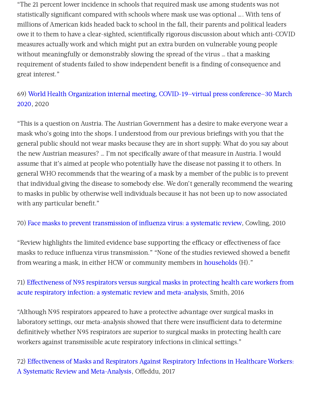"The 21 percent lower incidence in schools that required mask use among students was not statistically significant compared with schools where mask use was optional …. With tens of millions of American kids headed back to school in the fall, their parents and political leaders owe it to them to have a clear-sighted, scientifically rigorous discussion about which anti-COVID measures actually work and which might put an extra burden on vulnerable young people without meaningfully or demonstrably slowing the spread of the virus … that a masking requirement of students failed to show independent benefit is a finding of consequence and great interest."

# 69) World Health Organization internal meeting, [COVID-19—virtual](https://www.who.int/docs/default-source/coronaviruse/transcripts/who-audio-emergencies-coronavirus-press-conference-full-30mar2020.pdf?sfvrsn=6b68bc4a_2) press conference—30 March 2020, 2020

"This is a question on Austria. The Austrian Government has a desire to make everyone wear a mask who's going into the shops. I understood from our previous briefings with you that the general public should not wear masks because they are in short supply. What do you say about the new Austrian measures? … I'm not specifically aware of that measure in Austria. I would assume that it's aimed at people who potentially have the disease not passing it to others. In general WHO recommends that the wearing of a mask by a member of the public is to prevent that individual giving the disease to somebody else. We don't generally recommend the wearing to masks in public by otherwise well individuals because it has not been up to now associated with any particular benefit."

#### 70) Face masks to prevent [transmission](https://www.cambridge.org/core/journals/epidemiology-and-infection/article/face-masks-to-prevent-transmission-of-influenza-virus-a-systematic-%20review/64D368496EBDE0AFCC6639CCC9D8BC05) of influenza virus: a systematic review, Cowling, 2010

"Review highlights the limited evidence base supporting the efficacy or effectiveness of face masks to reduce influenza virus transmission." "None of the studies reviewed showed a benefit from wearing a mask, in either HCW or community members in [households](https://www.rcreader.com/commentary/masks-dont-work-covid-a-review-of-science-relevant-to-covide-19-social-policy) (H)."

# 71) Effectiveness of N95 respirators versus surgical masks in protecting health care workers from acute respiratory infection: a systematic review and [meta-analysis,](https://www.cmaj.ca/content/188/8/567) Smith, 2016

"Although N95 respirators appeared to have a protective advantage over surgical masks in laboratory settings, our meta-analysis showed that there were insufficient data to determine definitively whether N95 respirators are superior to surgical masks in protecting health care workers against transmissible acute respiratory infections in clinical settings."

72) Effectiveness of Masks and Respirators Against Respiratory Infections in Healthcare Workers: A Systematic Review and [Meta-Analysis,](https://academic.oup.com/cid/article/65/11/1934/4068747) Offeddu, 2017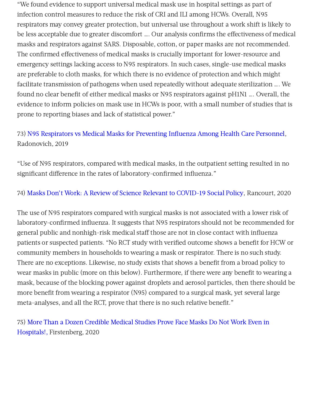"We found evidence to support universal medical mask use in hospital settings as part of infection control measures to reduce the risk of CRI and ILI among HCWs. Overall, N95 respirators may convey greater protection, but universal use throughout a work shift is likely to be less acceptable due to greater discomfort …. Our analysis confirms the effectiveness of medical masks and respirators against SARS. Disposable, cotton, or paper masks are not recommended. The confirmed effectiveness of medical masks is crucially important for lower-resource and emergency settings lacking access to N95 respirators. In such cases, single-use medical masks are preferable to cloth masks, for which there is no evidence of protection and which might facilitate transmission of pathogens when used repeatedly without adequate sterilization …. We found no clear benefit of either medical masks or N95 respirators against pH1N1 …. Overall, the evidence to inform policies on mask use in HCWs is poor, with a small number of studies that is prone to reporting biases and lack of statistical power."

# 73) N95 [Respirators](https://jamanetwork.com/journals/jama/fullarticle/2749214) vs Medical Masks for Preventing Influenza Among Health Care Personnel, Radonovich, 2019

"Use of N95 respirators, compared with medical masks, in the outpatient setting resulted in no significant difference in the rates of laboratory-confirmed influenza."

#### 74) Masks Don't Work: A Review of Science Relevant to [COVID-19](https://www.rcreader.com/commentary/masks-dont-work-covid-a-review-of-science-relevant-to-covide-19-social-policy) Social Policy, Rancourt, 2020

The use of N95 respirators compared with surgical masks is not associated with a lower risk of laboratory-confirmed influenza. It suggests that N95 respirators should not be recommended for general public and nonhigh-risk medical staff those are not in close contact with influenza patients or suspected patients. "No RCT study with verified outcome shows a benefit for HCW or community members in households to wearing a mask or respirator. There is no such study. There are no exceptions. Likewise, no study exists that shows a benefit from a broad policy to wear masks in public (more on this below). Furthermore, if there were any benefit to wearing a mask, because of the blocking power against droplets and aerosol particles, then there should be more benefit from wearing a respirator (N95) compared to a surgical mask, yet several large meta-analyses, and all the RCT, prove that there is no such relative benefit."

75) More Than a Dozen Credible Medical Studies Prove Face Masks Do Not Work Even in Hospitals!, [Firstenberg,](https://visionlaunch.com/more-than-a-dozen-credible-medical-studies-prove-face-masks-do-not-work-even-in-hospitals/) 2020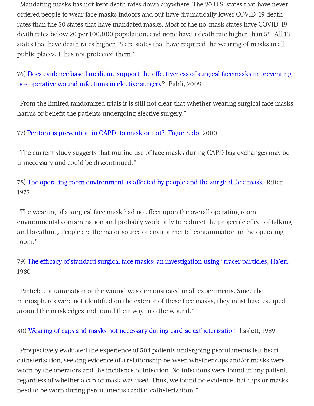"Mandating masks has not kept death rates down anywhere. The 20 U.S. states that have never ordered people to wear face masks indoors and out have dramatically lower COVID-19 death rates than the 30 states that have mandated masks. Most of the no-mask states have COVID-19 death rates below 20 per 100,000 population, and none have a death rate higher than 55. All 13 states that have death rates higher 55 are states that have required the wearing of masks in all public places. It has not protected them."

76) Does evidence based medicine support the effectiveness of surgical facemasks in preventing [postoperative](https://pubmed.ncbi.nlm.nih.gov/20524498/) wound infections in elective surgery?, Bahli, 2009

"From the limited randomized trials it is still not clear that whether wearing surgical face masks harms or benefit the patients undergoing elective surgery."

77) Peritonitis [prevention](https://pubmed.ncbi.nlm.nih.gov/10898061/) in CAPD: to mask or not?, [Figueiredo](https://pubmed.ncbi.nlm.nih.gov/?term=Figueiredo+AE&cauthor_id=10898061), 2000

"The current study suggests that routine use of face masks during CAPD bag exchanges may be unnecessary and could be discontinued."

78) The operating room [environment](https://pubmed.ncbi.nlm.nih.gov/1157412/) as affected by people and the surgical face mask, Ritter, 1975

"The wearing of a surgical face mask had no effect upon the overall operating room environmental contamination and probably work only to redirect the projectile effect of talking and breathing. People are the major source of environmental contamination in the operating room."

79) The efficacy of standard surgical face masks: an [investigation](https://pubmed.ncbi.nlm.nih.gov/7379387/) using "tracer particles, [Ha'eri](https://pubmed.ncbi.nlm.nih.gov/?term=Ha%27eri+GB&cauthor_id=7379387), 1980

"Particle contamination of the wound was demonstrated in all experiments. Since the microspheres were not identified on the exterior of these face masks, they must have escaped around the mask edges and found their way into the wound."

80) Wearing of caps and masks not necessary during cardiac [catheterization](https://www.semanticscholar.org/paper/Wearing-of-caps-and-masks-not-necessary-during-Laslett-Sabin/1fbc3fe197f1b83940571bece7143e2af73d6d88), Laslett, 1989

"Prospectively evaluated the experience of 504 patients undergoing percutaneous left heart catheterization, seeking evidence of a relationship between whether caps and/or masks were worn by the operators and the incidence of infection. No infections were found in any patient, regardless of whether a cap or mask was used. Thus, we found no evidence that caps or masks need to be worn during percutaneous cardiac catheterization."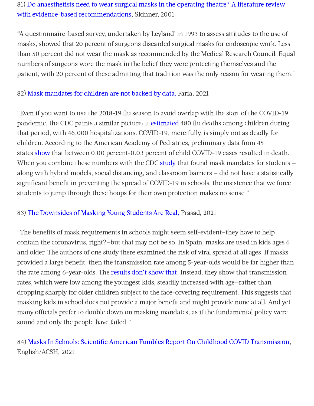# 81) Do anaesthetists need to wear surgical masks in the operating theatre? A literature review with evidence-based [recommendations,](https://pubmed.ncbi.nlm.nih.gov/11512642/) Skinner, 2001

"A questionnaire-based survey, undertaken by Leyland' in 1993 to assess attitudes to the use of masks, showed that 20 percent of surgeons discarded surgical masks for endoscopic work. Less than 50 percent did not wear the mask as recommended by the Medical Research Council. Equal numbers of surgeons wore the mask in the belief they were protecting themselves and the patient, with 20 percent of these admitting that tradition was the only reason for wearing them."

#### 82) Mask [mandates](https://www.washingtonexaminer.com/opinion/mask-mandates-for-children-are-not-backed-by-data) for children are not backed by data, Faria, 2021

"Even if you want to use the 2018-19 flu season to avoid overlap with the start of the COVID-19 pandemic, the CDC paints a similar picture: It [estimated](https://www.cdc.gov/flu/about/burden/2018-2019.html) 480 flu deaths among children during that period, with 46,000 hospitalizations. COVID-19, mercifully, is simply not as deadly for children. According to the American Academy of Pediatrics, preliminary data from 45 states [show](https://www.aap.org/en/pages/2019-novel-coronavirus-covid-19-infections/children-and-covid-19-state-level-data-report/) that between 0.00 percent-0.03 percent of child COVID-19 cases resulted in death. When you combine these numbers with the CDC [study](https://nymag.com/intelligencer/2021/08/the-science-of-masking-kids-at-school-remains-uncertain.html) that found mask mandates for students  $$ along with hybrid models, social distancing, and classroom barriers — did not have a statistically significant benefit in preventing the spread of COVID-19 in schools, the insistence that we force students to jump through these hoops for their own protection makes no sense."

#### 83) The [Downsides](https://www.theatlantic.com/ideas/archive/2021/09/school-mask-mandates-downside/619952/) of Masking Young Students Are Real, Prasad, 2021

"The benefits of mask requirements in schools might seem self-evident—they have to help contain the coronavirus, right?—but that may not be so. In Spain, masks are used in kids ages 6 and older. The authors of one study there examined the risk of viral spread at all ages. If masks provided a large benefit, then the transmission rate among 5-year-olds would be far higher than the rate among 6-year-olds. The [results](https://twitter.com/apsmunro/status/1420765698746322949?s=20) don't show that. Instead, they show that transmission rates, which were low among the youngest kids, steadily increased with age—rather than dropping sharply for older children subject to the face-covering requirement. This suggests that masking kids in school does not provide a major benefit and might provide none at all. And yet many officials prefer to double down on masking mandates, as if the fundamental policy were sound and only the people have failed."

# 84) Masks In Schools: Scientific American Fumbles Report On Childhood COVID [Transmission,](https://www.acsh.org/news/2021/09/16/masks-schools-scientific-american-fumbles-report-childhood-covid-transmission-15814) English/ACSH, 2021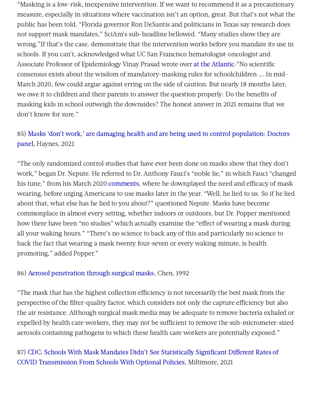"Masking is a low-risk, inexpensive intervention. If we want to recommend it as a precautionary measure, especially in situations where vaccination isn't an option, great. But that's not what the public has been told. "Florida governor Ron DeSantis and politicians in Texas say research does not support mask mandates," SciAm's sub-headline bellowed. "Many studies show they are wrong."If that's the case, demonstrate that the intervention works before you mandate its use in schools. If you can't, acknowledged what UC San Francisco hematologist-oncologist and Associate Professor of Epidemiology Vinay Prasad wrote over at the [Atlantic:](https://www.msn.com/en-us/money/news/the-harms-of-masking-young-students-are-real/ar-AAO1anQ)"No scientific consensus exists about the wisdom of mandatory-masking rules for schoolchildren …. In mid-March 2020, few could argue against erring on the side of caution. But nearly 18 months later, we owe it to children and their parents to answer the question properly: Do the benefits of masking kids in school outweigh the downsides? The honest answer in 2021 remains that we don't know for sure."

# 85) Masks 'don't work,' are damaging health and are being used to control population: Doctors panel, [Haynes,](https://www.lifesitenews.com/news/masks-dont-work-are-damaging-health-and-are-being-used-to-control-population-doctors-panel/) 2021

"The only randomized control studies that have ever been done on masks show that they don't work," began Dr. Nepute. He referred to Dr. Anthony Fauci's "noble lie," in which Fauci "changed his tune." from his March 2020 [comments](https://nypost.com/2020/12/30/sen-marco-rubio-says-dr-fauci-selectively-lied-about-covid-19/), where he downplayed the need and efficacy of mask wearing, before urging Americans to use masks later in the year. "Well, he lied to us. So if he lied about that, what else has he lied to you about?" questioned Nepute. Masks have become commonplace in almost every setting, whether indoors or outdoors, but Dr. Popper mentioned how there have been "no studies" which actually examine the "effect of wearing a mask during all your waking hours." "There's no science to back any of this and particularly no science to back the fact that wearing a mask twenty four-seven or every waking minute, is health promoting," added Popper."

#### 86) Aerosol [penetration](https://www.ajicjournal.org/article/S0196-6553(05)80143-9/pdf) through surgical masks, Chen, 1992

"The mask that has the highest collection efficiency is not necessarily the best mask from the perspective of the filter-quality factor, which considers not only the capture efficiency but also the air resistance. Although surgical mask media may be adequate to remove bacteria exhaled or expelled by health care workers, they may not be sufficient to remove the sub-micrometer-sized aerosols containing pathogens to which these health care workers are potentially exposed."

# 87) CDC: Schools With Mask Mandates Didn't See Statistically Significant Different Rates of COVID [Transmission](https://fee.org/articles/cdc-schools-with-mask-mandates-didn-t-see-statistically-significant-different-rates-of-covid-transmission-from-schools-with-optional-policies/) From Schools With Optional Policies, Miltimore, 2021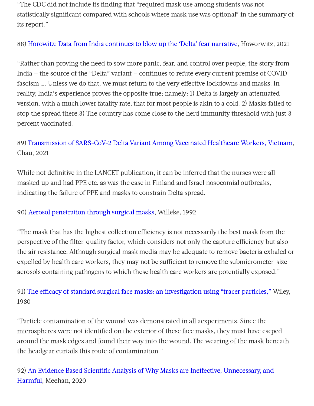"The CDC did not include its finding that "required mask use among students was not statistically significant compared with schools where mask use was optional" in the summary of its report."

88) [Horowitz:](https://www.theblaze.com/op-ed/horowitz-data-from-india-continues-to-blow-up-the-delta-fear-narrative?utm_source=theblaze-breaking&utm_medium=email&utm_campaign=20210722Trending-HorowitzIndiaDelta&utm_term=ACTIVE%20LIST%20-%20TheBlaze%20Breaking%20News) Data from India continues to blow up the 'Delta' fear narrative, Howorwitz, 2021

"Rather than proving the need to sow more panic, fear, and control over people, the story from India — the source of the "Delta" variant — continues to refute every current premise of COVID fascism …. Unless we do that, we must return to the very effective lockdowns and masks. In reality, India's experience proves the opposite true; namely: 1) Delta is largely an attenuated version, with a much lower fatality rate, that for most people is akin to a cold. 2) Masks failed to stop the spread there.3) The country has come close to the herd immunity threshold with just 3 percent vaccinated.

# 89) [Transmission](https://papers.ssrn.com/sol3/papers.cfm?abstract_id=3897733) of SARS-CoV-2 Delta Variant Among Vaccinated Healthcare Workers, Vietnam, Chau, 2021

While not definitive in the LANCET publication, it can be inferred that the nurses were all masked up and had PPE etc. as was the case in Finland and Israel nosocomial outbreaks, indicating the failure of PPE and masks to constrain Delta spread.

#### 90) Aerosol [penetration](https://pubmed.ncbi.nlm.nih.gov/1524265/) through surgical masks, Willeke, 1992

"The mask that has the highest collection efficiency is not necessarily the best mask from the perspective of the filter-quality factor, which considers not only the capture efficiency but also the air resistance. Although surgical mask media may be adequate to remove bacteria exhaled or expelled by health care workers, they may not be sufficient to remove the submicrometer-size aerosols containing pathogens to which these health care workers are potentially exposed."

# 91) The efficacy of standard surgical face masks: an [investigation](https://pubmed.ncbi.nlm.nih.gov/7379387/) using "tracer particles," Wiley, 1980

"Particle contamination of the wound was demonstrated in all aexperiments. Since the microspheres were not identified on the exterior of these face masks, they must have escped around the mask edges and found their way into the wound. The wearing of the mask beneath the headgear curtails this route of contamination."

92) An Evidence Based Scientific Analysis of Why Masks are Ineffective, Unnecessary, and [Harmful,](https://ratical.org/PandemicParallaxView/mp3s/An-Evidence-Based-Scientific-Analysis-of-Why-Masks-are-Ineffective-Unnecessary-and-Harmful-10-12-2020.pdf) Meehan, 2020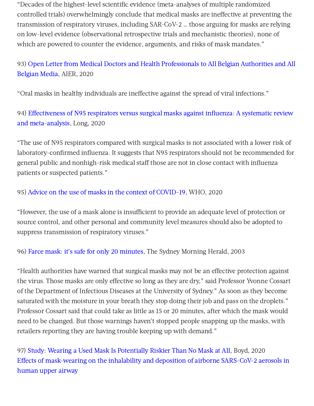"Decades of the highest-level scientific evidence (meta-analyses of multiple randomized controlled trials) overwhelmingly conclude that medical masks are ineffective at preventing the transmission of respiratory viruses, including SAR-CoV-2 … those arguing for masks are relying on low-level evidence (observational retrospective trials and mechanistic theories), none of which are powered to counter the evidence, arguments, and risks of mask mandates."

# 93) Open Letter from Medical Doctors and Health [Professionals](https://www.aier.org/article/open-letter-from-medical-doctors-and-health-professionals-to-all-belgian-authorities-and-all-belgian-media/) to All Belgian Authorities and All Belgian Media, AIER, 2020

"Oral masks in healthy individuals are ineffective against the spread of viral infections."

94) Effectiveness of N95 respirators versus surgical masks against influenza: A systematic review and [meta-analysis,](https://onlinelibrary.wiley.com/doi/10.1111/jebm.12381) Long, 2020

"The use of N95 respirators compared with surgical masks is not associated with a lower risk of laboratory-confirmed influenza. It suggests that N95 respirators should not be recommended for general public and nonhigh-risk medical staff those are not in close contact with influenza patients or suspected patients."

#### 95) Advice on the use of masks in the context of [COVID-19,](https://apps.who.int/iris/bitstream/handle/10665/332293/WHO-2019-nCov-IPC_Masks-2020.4-eng.pdf?sequence=1&isAllowed=y) WHO, 2020

"However, the use of a mask alone is insufficient to provide an adequate level of protection or source control, and other personal and community level measures should also be adopted to suppress transmission of respiratory viruses."

96) Farce mask: it's safe for only 20 [minutes,](https://www.smh.com.au/national/farce-mask-its-safe-for-only-20-minutes-20030427-gdgnyo.html) The Sydney Morning Herald, 2003

"Health authorities have warned that surgical masks may not be an effective protection against the virus. Those masks are only effective so long as they are dry," said Professor Yvonne Cossart of the Department of Infectious Diseases at the University of Sydney." As soon as they become saturated with the moisture in your breath they stop doing their job and pass on the droplets." Professor Cossart said that could take as little as 15 or 20 minutes, after which the mask would need to be changed. But those warnings haven't stopped people snapping up the masks, with retailers reporting they are having trouble keeping up with demand."

97) Study: Wearing a Used Mask Is [Potentially](https://thefederalist.com/2020/12/17/study-wearing-a-used-mask-is-potentially-riskier-than-no-mask-at-all/) Riskier Than No Mask at All, Boyd, 2020 Effects of [mask-wearing](https://aip.scitation.org/doi/10.1063/5.0034580) on the inhalability and deposition of airborne SARS-CoV-2 aerosols in human upper airway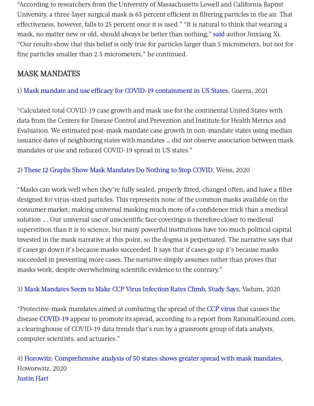"According to researchers from the University of Massachusetts Lowell and California Baptist University, a three-layer surgical mask is 65 percent efficient in filtering particles in the air. That effectiveness, however, falls to 25 percent once it is used." "It is natural to think that wearing a mask, no matter new or old, should always be better than nothing," [said](https://nypost.com/2020/12/16/wearing-a-used-mask-could-worse-than-no-mask-amid-covid-19-study/amp/) author Jinxiang Xi. "Our results show that this belief is only true for particles larger than 5 micrometers, but not for fine particles smaller than 2.5 micrometers," he continued.

# MASK MANDATES

1) Mask mandate and use efficacy for COVID-19 [containment](https://www.medrxiv.org/content/10.1101/2021.05.18.21257385v2) in US States, Guerra, 2021

"Calculated total COVID-19 case growth and mask use for the continental United States with data from the Centers for Disease Control and Prevention and Institute for Health Metrics and Evaluation. We estimated post-mask mandate case growth in non-mandate states using median issuance dates of neighboring states with mandates … did not observe association between mask mandates or use and reduced COVID-19 spread in US states."

2) These 12 Graphs Show Mask [Mandates](https://thefederalist.com/2020/10/29/these-12-graphs-show-mask-mandates-do-nothing-to-stop-covid/) Do Nothing to Stop COVID, Weiss, 2020

"Masks can work well when they're fully sealed, properly fitted, changed often, and have a filter designed for virus-sized particles. This represents none of the common masks available on the consumer market, making universal masking much more of a confidence trick than a medical solution …. Our universal use of unscientific face coverings is therefore closer to medieval superstition than it is to science, but many powerful institutions have too much political capital invested in the mask narrative at this point, so the dogma is perpetuated. The narrative says that if cases go down it's because masks succeeded. It says that if cases go up it's because masks succeeded in preventing more cases. The narrative simply assumes rather than proves that masks work, despite overwhelming scientific evidence to the contrary."

3) Mask [Mandates](https://www.theepochtimes.com/face-mask-mandates-seem-to-make-ccp-virus-infection-rates-climb-says-study_3629627.html?utm_source=morningbrief&utm_medium=email&utm_campaign=mb-2020-12-23&fbclid=IwAR1OlncsLOdYRg-vt2afCphIGj3z6Curfcp3G-U9_EEjQi-MXId5IzwZRBw) Seem to Make CCP Virus Infection Rates Climb, Study Says, Vadum, 2020

"Protective-mask mandates aimed at combating the spread of the CCP [virus](https://www.theepochtimes.com/giving-the-right-name-to-the-virus-causing-a-worldwide-pandemic-2_3277200.html) that causes the disease [COVID-19](https://www.theepochtimes.com/t-covid-19) appear to promote its spread, according to a report from RationalGround.com, a clearinghouse of COVID-19 data trends that's run by a grassroots group of data analysts, computer scientists, and actuaries."

4) Horowitz: [Comprehensive](https://www.conservativereview.com/horowitz-comprehensive-analysis-of-50-states-shows-greater-spread-with-mask-mandates-2649589520.html) analysis of 50 states shows greater spread with mask mandates, Howorwitz, 2020 [Justin](https://twitter.com/justin_hart/status/1340725095573024768) Hart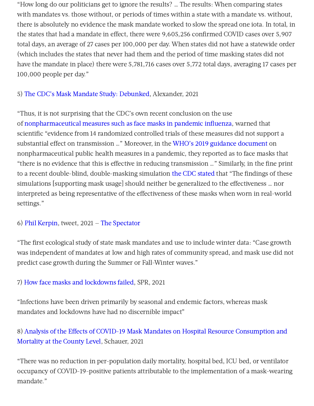"How long do our politicians get to ignore the results? … The results: When comparing states with mandates vs. those without, or periods of times within a state with a mandate vs. without, there is absolutely no evidence the mask mandate worked to slow the spread one iota. In total, in the states that had a mandate in effect, there were  $9.605.256$  confirmed COVID cases over  $5.907$ total days, an average of 27 cases per 100,000 per day. When states did not have a statewide order (which includes the states that never had them and the period of time masking states did not have the mandate in place) there were 5,781,716 cases over 5,772 total days, averaging 17 cases per 100,000 people per day."

#### 5) The CDC's Mask Mandate Study: [Debunked,](https://www.aier.org/article/the-cdcs-mask-mandate-study-debunked/) Alexander, 2021

"Thus, it is not surprising that the CDC's own recent conclusion on the use of [nonpharmaceutical](https://wwwnc.cdc.gov/eid/article/26/5/19-0994_article) measures such as face masks in pandemic influenza, warned that scientific "evidence from 14 randomized controlled trials of these measures did not support a substantial effect on transmission …" Moreover, in the WHO's 2019 guidance [document](https://apps.who.int/iris/bitstream/handle/10665/329438/9789241516839-eng.pdf?ua=1) on nonpharmaceutical public health measures in a pandemic, they reported as to face masks that "there is no evidence that this is effective in reducing transmission ..." Similarly, in the fine print to a recent double-blind, double-masking simulation the CDC [stated](https://www.cdc.gov/mmwr/volumes/70/wr/mm7007e1.htm?s_cid=mm7007e1_w) that "The findings of these simulations [supporting mask usage] should neither be generalized to the effectiveness … nor interpreted as being representative of the effectiveness of these masks when worn in real-world settings."

#### 6) Phil [Kerpin](https://twitter.com/kerpen/status/1397253170380689410?ref_src=twsrc%5Etfw%7Ctwcamp%5Etweetembed%7Ctwterm%5E1397253170380689410%7Ctwgr%5E%7Ctwcon%5Es1_&ref_url=https%3A%2F%2Fthespectator.info%2F2021%2F05%2F27%2Four-main-finding-is-that-mask-mandates-and-use-are-not-associated-with-lower-sars-cov-2-spread-among-us-states-twitchy-com%2F), tweet, 2021 — The [Spectator](https://thespectator.info/2021/05/27/our-main-finding-is-that-mask-mandates-and-use-are-not-associated-with-lower-sars-cov-2-spread-among-us-states-twitchy-com/)

"The first ecological study of state mask mandates and use to include winter data: "Case growth was independent of mandates at low and high rates of community spread, and mask use did not predict case growth during the Summer or Fall-Winter waves."

#### 7) How face masks and [lockdowns](https://swprs.org/the-face-mask-folly-in-retrospect/) failed, SPR, 2021

"Infections have been driven primarily by seasonal and endemic factors, whereas mask mandates and lockdowns have had no discernible impact"

# 8) Analysis of the Effects of COVID-19 Mask Mandates on Hospital Resource Consumption and [Mortality](https://www.ncbi.nlm.nih.gov/pmc/articles/PMC8395971/) at the County Level, Schauer, 2021

"There was no reduction in per-population daily mortality, hospital bed, ICU bed, or ventilator occupancy of COVID-19-positive patients attributable to the implementation of a mask-wearing mandate."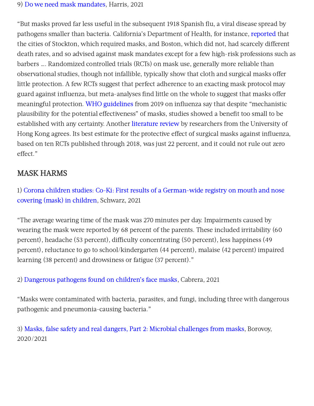#### 9) Do we need mask [mandates,](https://www.city-journal.org/do-we-need-mask-mandates) Harris, 2021

"But masks proved far less useful in the subsequent 1918 Spanish flu, a viral disease spread by pathogens smaller than bacteria. California's Department of Health, for instance, [reported](https://update.lib.berkeley.edu/2020/05/23/did-masks-work-the-1918-flu-pandemic-and-the-meaning-of-layered-interventions/) that the cities of Stockton, which required masks, and Boston, which did not, had scarcely different death rates, and so advised against mask mandates except for a few high-risk professions such as barbers …. Randomized controlled trials (RCTs) on mask use, generally more reliable than observational studies, though not infallible, typically show that cloth and surgical masks offer little protection. A few RCTs suggest that perfect adherence to an exacting mask protocol may guard against influenza, but meta-analyses find little on the whole to suggest that masks offer meaningful protection. WHO [guidelines](https://apps.who.int/iris/bitstream/handle/10665/329438/9789241516839-eng.pdf) from 2019 on influenza say that despite "mechanistic plausibility for the potential effectiveness" of masks, studies showed a benefit too small to be established with any certainty. Another [literature](https://wwwnc.cdc.gov/eid/article/26/5/19-0994_article) review by researchers from the University of Hong Kong agrees. Its best estimate for the protective effect of surgical masks against influenza, based on ten RCTs published through 2018, was just 22 percent, and it could not rule out zero effect."

# MASK HARMS

1) Corona children studies: Co-Ki: First results of a German-wide registry on mouth and nose covering (mask) in [children,](https://www.researchsquare.com/article/rs-124394/v3) Schwarz, 2021

"The average wearing time of the mask was 270 minutes per day. Impairments caused by wearing the mask were reported by 68 percent of the parents. These included irritability (60 percent), headache (53 percent), difficulty concentrating (50 percent), less happiness (49 percent), reluctance to go to school/kindergarten (44 percent), malaise (42 percent) impaired learning (38 percent) and drowsiness or fatigue (37 percent)."

2) [Dangerous](https://rationalground.com/dangerous-pathogens-found-on-childrens-face-masks/) pathogens found on children's face masks, Cabrera, 2021

"Masks were contaminated with bacteria, parasites, and fungi, including three with dangerous pathogenic and pneumonia-causing bacteria."

3) Masks, false safety and real dangers, Part 2: Microbial [challenges](https://childrenshealthdefense.org/wp-content/uploads/Masks-false-safety-and-real-dangers-Part-2-Microbial-challenges-from-masks.pdf) from masks, Borovoy, 2020/2021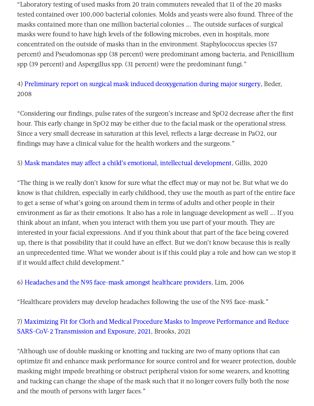"Laboratory testing of used masks from 20 train commuters revealed that 11 of the 20 masks tested contained over 100,000 bacterial colonies. Molds and yeasts were also found. Three of the masks contained more than one million bacterial colonies …. The outside surfaces of surgical masks were found to have high levels of the following microbes, even in hospitals, more concentrated on the outside of masks than in the environment. Staphylococcus species (57 percent) and Pseudomonas spp (38 percent) were predominant among bacteria, and Penicillium spp (39 percent) and Aspergillus spp. (31 percent) were the predominant fungi."

# 4) Preliminary report on surgical mask induced [deoxygenation](https://scielo.isciii.es/pdf/neuro/v19n2/3.pdf) during major surgery, Beder, 2008

"Considering our findings, pulse rates of the surgeon's increase and SpO2 decrease after the first hour. This early change in SpO2 may be either due to the facial mask or the operational stress. Since a very small decrease in saturation at this level, reflects a large decrease in PaO2, our findings may have a clinical value for the health workers and the surgeons."

#### 5) Mask mandates may affect a child's emotional, intellectual [development](https://www.wishtv.com/news/mask-mandates-may-affect-a-childs-emotional-intellectual-development/), Gillis, 2020

"The thing is we really don't know for sure what the effect may or may not be. But what we do know is that children, especially in early childhood, they use the mouth as part of the entire face to get a sense of what's going on around them in terms of adults and other people in their environment as far as their emotions. It also has a role in language development as well …. If you think about an infant, when you interact with them you use part of your mouth. They are interested in your facial expressions. And if you think about that part of the face being covered up, there is that possibility that it could have an effect. But we don't know because this is really an unprecedented time. What we wonder about is if this could play a role and how can we stop it if it would affect child development."

#### 6) [Headaches](https://pubmed.ncbi.nlm.nih.gov/16441251/) and the N95 face-mask amongst healthcare providers, Lim, 2006

"Healthcare providers may develop headaches following the use of the N95 face-mask."

# 7) Maximizing Fit for Cloth and Medical Procedure Masks to Improve Performance and Reduce SARS-CoV-2 [Transmission](https://www.cdc.gov/mmwr/volumes/70/wr/mm7007e1.htm?s_cid=mm7007e1_w) and Exposure, 2021, Brooks, 2021

"Although use of double masking or knotting and tucking are two of many options that can optimize fit and enhance mask performance for source control and for wearer protection, double masking might impede breathing or obstruct peripheral vision for some wearers, and knotting and tucking can change the shape of the mask such that it no longer covers fully both the nose and the mouth of persons with larger faces."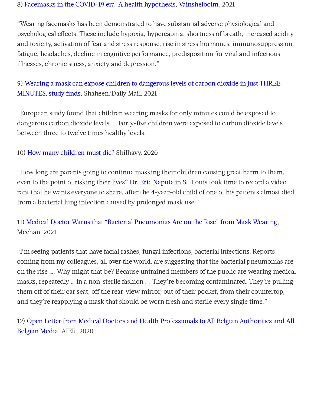#### 8) Facemasks in the COVID-19 era: A health [hypothesis,](https://www.ncbi.nlm.nih.gov/pmc/articles/PMC7680614/) [Vainshelboim,](https://www.ncbi.nlm.nih.gov/pubmed/?term=Vainshelboim%20B%5BAuthor%5D&cauthor=true&cauthor_uid=33303303) 2021

"Wearing facemasks has been demonstrated to have substantial adverse physiological and psychological effects. These include hypoxia, hypercapnia, shortness of breath, increased acidity and toxicity, activation of fear and stress response, rise in stress hormones, immunosuppression, fatigue, headaches, decline in cognitive performance, predisposition for viral and infectious illnesses, chronic stress, anxiety and depression."

# 9) Wearing a mask can expose children to dangerous levels of carbon dioxide in just THREE MINUTES, study finds, [Shaheen/Daily](https://www.dailymail.co.uk/health/article-9758217/Children-wearing-masks-exposed-dangerous-levels-carbon-dioxide-study-finds.html) Mail, 2021

"European study found that children wearing masks for only minutes could be exposed to dangerous carbon dioxide levels …. Forty-five children were exposed to carbon dioxide levels between three to twelve times healthy levels."

#### 10) How many [children](https://healthimpactnews.com/2020/4-year-old-almost-dies-due-to-lung-infection-caused-by-prolonged-mask-wearing-doctor-rants-how-many-children-must-die/) must die? Shilhavy, 2020

"How long are parents going to continue masking their children causing great harm to them, even to the point of risking their lives? Dr. Eric [Nepute](https://www.instagram.com/tv/CHkOsjOJcuq/) in St. Louis took time to record a video rant that he wants everyone to share, after the 4-year-old child of one of his patients almost died from a bacterial lung infection caused by prolonged mask use."

# 11) Medical Doctor Warns that "Bacterial [Pneumonias](https://www.globalresearch.ca/medical-doctor-warns-bacterial-pneumonias-rise-mask-wearing) Are on the Rise" from Mask Wearing, Meehan, 2021

"I'm seeing patients that have facial rashes, fungal infections, bacterial infections. Reports coming from my colleagues, all over the world, are suggesting that the bacterial pneumonias are on the rise …. Why might that be? Because untrained members of the public are wearing medical masks, repeatedly … in a non-sterile fashion …. They're becoming contaminated. They're pulling them off of their car seat, off the rear-view mirror, out of their pocket, from their countertop, and they're reapplying a mask that should be worn fresh and sterile every single time."

# 12) Open Letter from Medical Doctors and Health [Professionals](https://www.aier.org/article/open-letter-from-medical-doctors-and-health-professionals-to-all-belgian-authorities-and-all-belgian-media/) to All Belgian Authorities and All Belgian Media, AIER, 2020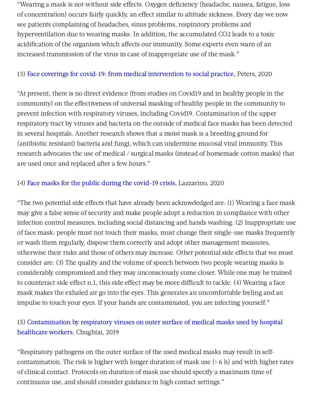"Wearing a mask is not without side effects. Oxygen deficiency (headache, nausea, fatigue, loss of concentration) occurs fairly quickly, an effect similar to altitude sickness. Every day we now see patients complaining of headaches, sinus problems, respiratory problems and hyperventilation due to wearing masks. In addition, the accumulated CO2 leads to a toxic acidification of the organism which affects our immunity. Some experts even warn of an increased transmission of the virus in case of inappropriate use of the mask."

#### 13) Face coverings for covid-19: from medical [intervention](https://www.bmj.com/content/370/bmj.m3021/rr-6) to social practice, Peters, 2020

"At present, there is no direct evidence (from studies on Covid19 and in healthy people in the community) on the effectiveness of universal masking of healthy people in the community to prevent infection with respiratory viruses, including Covid19. Contamination of the upper respiratory tract by viruses and bacteria on the outside of medical face masks has been detected in several hospitals. Another research shows that a moist mask is a breeding ground for (antibiotic resistant) bacteria and fungi, which can undermine mucosal viral immunity. This research advocates the use of medical / surgical masks (instead of homemade cotton masks) that are used once and replaced after a few hours."

#### 14) Face masks for the public during the [covid-19](https://www.bmj.com/content/369/bmj.m1435/rr-40) crisis, Lazzarino, 2020

"The two potential side effects that have already been acknowledged are: (1) Wearing a face mask may give a false sense of security and make people adopt a reduction in compliance with other infection control measures, including social distancing and hands washing. (2) Inappropriate use of face mask: people must not touch their masks, must change their single-use masks frequently or wash them regularly, dispose them correctly and adopt other management measures, otherwise their risks and those of others may increase. Other potential side effects that we must consider are: (3) The quality and the volume of speech between two people wearing masks is considerably compromised and they may unconsciously come closer. While one may be trained to counteract side effect n.1, this side effect may be more difficult to tackle. (4) Wearing a face mask makes the exhaled air go into the eyes. This generates an uncomfortable feeling and an impulse to touch your eyes. If your hands are contaminated, you are infecting yourself."

# 15) Contamination by respiratory viruses on outer surface of medical masks used by hospital [healthcare](https://bmcinfectdis.biomedcentral.com/articles/10.1186/s12879-019-4109-x) workers, Chughtai, 2019

"Respiratory pathogens on the outer surface of the used medical masks may result in selfcontamination. The risk is higher with longer duration of mask use (> 6 h) and with higher rates of clinical contact. Protocols on duration of mask use should specify a maximum time of continuous use, and should consider guidance in high contact settings."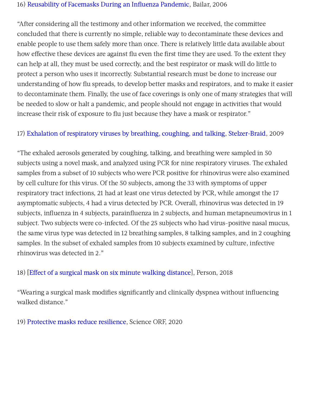#### 16) [Reusability](https://www8.nationalacademies.org/onpinews/newsitem.aspx?RecordID=s04272006) of Facemasks During an Influenza Pandemic, Bailar, 2006

"After considering all the testimony and other information we received, the committee concluded that there is currently no simple, reliable way to decontaminate these devices and enable people to use them safely more than once. There is relatively little data available about how effective these devices are against flu even the first time they are used. To the extent they can help at all, they must be used correctly, and the best respirator or mask will do little to protect a person who uses it incorrectly. Substantial research must be done to increase our understanding of how flu spreads, to develop better masks and respirators, and to make it easier to decontaminate them. Finally, the use of face coverings is only one of many strategies that will be needed to slow or halt a pandemic, and people should not engage in activities that would increase their risk of exposure to flu just because they have a mask or respirator."

#### 17) Exhalation of [respiratory](http://../Downloads/Stelzer-Braid) viruses by breathing, coughing, and talking, [Stelzer-Braid,](https://onlinelibrary.wiley.com/action/doSearch?ContribAuthorRaw=Stelzer-Braid%2C+Sacha) 2009

"The exhaled aerosols generated by coughing, talking, and breathing were sampled in 50 subjects using a novel mask, and analyzed using PCR for nine respiratory viruses. The exhaled samples from a subset of 10 subjects who were PCR positive for rhinovirus were also examined by cell culture for this virus. Of the 50 subjects, among the 33 with symptoms of upper respiratory tract infections, 21 had at least one virus detected by PCR, while amongst the 17 asymptomatic subjects, 4 had a virus detected by PCR. Overall, rhinovirus was detected in 19 subjects, influenza in 4 subjects, parainfluenza in 2 subjects, and human metapneumovirus in 1 subject. Two subjects were co-infected. Of the 25 subjects who had virus-positive nasal mucus, the same virus type was detected in 12 breathing samples, 8 talking samples, and in 2 coughing samples. In the subset of exhaled samples from 10 subjects examined by culture, infective rhinovirus was detected in 2."

#### 18) [Effect of a surgical mask on six minute walking [distance\]](https://pubmed.ncbi.nlm.nih.gov/29395560/), Person, 2018

"Wearing a surgical mask modifies significantly and clinically dyspnea without influencing walked distance."

19) [Protective](https://science.orf.at/stories/3201213/) masks reduce resilience, Science ORF, 2020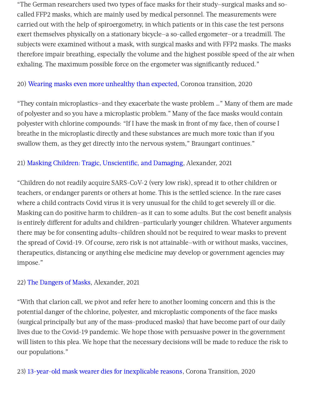"The German researchers used two types of face masks for their study—surgical masks and socalled FFP2 masks, which are mainly used by medical personnel. The measurements were carried out with the help of spiroergometry, in which patients or in this case the test persons exert themselves physically on a stationary bicycle—a so-called ergometer—or a treadmill. The subjects were examined without a mask, with surgical masks and with FFP2 masks. The masks therefore impair breathing, especially the volume and the highest possible speed of the air when exhaling. The maximum possible force on the ergometer was significantly reduced."

#### 20) Wearing masks even more [unhealthy](https://corona-transition.org/maskentragen-noch-ungesunder-als-gedacht) than expected, Coronoa transition, 2020

"They contain microplastics—and they exacerbate the waste problem …" Many of them are made of polyester and so you have a microplastic problem." Many of the face masks would contain polyester with chlorine compounds: "If I have the mask in front of my face, then of course I breathe in the microplastic directly and these substances are much more toxic than if you swallow them, as they get directly into the nervous system," Braungart continues."

#### 21) Masking Children: Tragic, [Unscientific,](https://www.aier.org/article/masking-children-tragic-unscientific-and-damaging/) and Damaging, Alexander, 2021

"Children do not readily acquire SARS-CoV-2 (very low risk), spread it to other children or teachers, or endanger parents or others at home. This is the settled science. In the rare cases where a child contracts Covid virus it is very unusual for the child to get severely ill or die. Masking can do positive harm to children—as it can to some adults. But the cost benefit analysis is entirely different for adults and children–particularly younger children. Whatever arguments there may be for consenting adults—children should not be required to wear masks to prevent the spread of Covid-19. Of course, zero risk is not attainable—with or without masks, vaccines, therapeutics, distancing or anything else medicine may develop or government agencies may impose."

#### 22) The [Dangers](https://www.aier.org/article/the-dangers-of-masks/) of Masks, Alexander, 2021

"With that clarion call, we pivot and refer here to another looming concern and this is the potential danger of the chlorine, polyester, and microplastic components of the face masks (surgical principally but any of the mass-produced masks) that have become part of our daily lives due to the Covid-19 pandemic. We hope those with persuasive power in the government will listen to this plea. We hope that the necessary decisions will be made to reduce the risk to our populations."

23) 13-year-old mask wearer dies for [inexplicable](https://corona-transition.org/13-jahrige-maskentragerin-stirbt) reasons, Corona Transition, 2020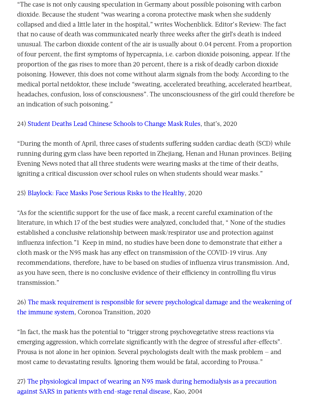"The case is not only causing speculation in Germany about possible poisoning with carbon dioxide. Because the student "was wearing a corona protective mask when she suddenly collapsed and died a little later in the hospital," writes Wochenblick. Editor's Review: The fact that no cause of death was communicated nearly three weeks after the girl's death is indeed unusual. The carbon dioxide content of the air is usually about 0.04 percent. From a proportion of four percent, the first symptoms of hypercapnia, i.e. carbon dioxide poisoning, appear. If the proportion of the gas rises to more than 20 percent, there is a risk of deadly carbon dioxide poisoning. However, this does not come without alarm signals from the body. According to the medical portal netdoktor, these include "sweating, accelerated breathing, accelerated heartbeat, headaches, confusion, loss of consciousness". The unconsciousness of the girl could therefore be an indication of such poisoning."

#### 24) Student Deaths Lead [Chinese](https://www.thatsmags.com/china/post/31100/student-deaths-lead-schools-to-adjust-rules-on-masks-while-exercising) Schools to Change Mask Rules, that's, 2020

"During the month of April, three cases of students suffering sudden cardiac death (SCD) while running during gym class have been reported in Zhejiang, Henan and Hunan provinces. Beijing Evening News noted that all three students were wearing masks at the time of their deaths, igniting a critical discussion over school rules on when students should wear masks."

#### 25) [Blaylock:](https://www.technocracy.news/blaylock-face-masks-pose-serious-risks-to-the-healthy/) Face Masks Pose Serious Risks to the Healthy, 2020

"As for the scientific support for the use of face mask, a recent careful examination of the literature, in which 17 of the best studies were analyzed, concluded that, " None of the studies established a conclusive relationship between mask/respirator use and protection against influenza infection."1 Keep in mind, no studies have been done to demonstrate that either a cloth mask or the N95 mask has any effect on transmission of the COVID-19 virus. Any recommendations, therefore, have to be based on studies of influenza virus transmission. And, as you have seen, there is no conclusive evidence of their efficiency in controlling flu virus transmission."

# 26) The mask requirement is responsible for severe psychological damage and the weakening of the immune system, Coronoa [Transition,](https://corona-transition.org/der-maskenzwang-ist-verantwortlich-fur-schwere-psychische-schaden-und-die) 2020

"In fact, the mask has the potential to "trigger strong psychovegetative stress reactions via emerging aggression, which correlate significantly with the degree of stressful after-effects". Prousa is not alone in her opinion. Several psychologists dealt with the mask problem — and most came to devastating results. Ignoring them would be fatal, according to Prousa."

# 27) The physiological impact of wearing an N95 mask during hemodialysis as a precaution against SARS in patients with [end-stage](https://pubmed.ncbi.nlm.nih.gov/15340662/) renal disease, Kao, 2004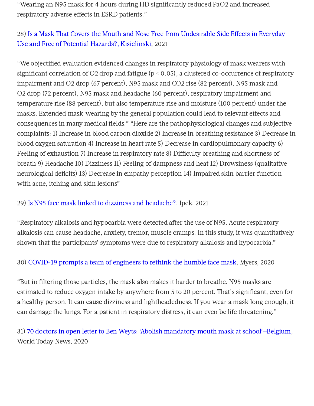"Wearing an N95 mask for 4 hours during HD significantly reduced PaO2 and increased respiratory adverse effects in ESRD patients."

# 28) Is a Mask That Covers the Mouth and Nose Free from Undesirable Side Effects in Everyday Use and Free of Potential Hazards?, [Kisielinski,](https://pubmed.ncbi.nlm.nih.gov/33923935/) 2021

"We objectified evaluation evidenced changes in respiratory physiology of mask wearers with significant correlation of O2 drop and fatigue (p < 0.05), a clustered co-occurrence of respiratory impairment and O2 drop (67 percent), N95 mask and CO2 rise (82 percent), N95 mask and O2 drop (72 percent), N95 mask and headache (60 percent), respiratory impairment and temperature rise (88 percent), but also temperature rise and moisture (100 percent) under the masks. Extended mask-wearing by the general population could lead to relevant effects and consequences in many medical fields." "Here are the pathophysiological changes and subjective complaints: 1) Increase in blood carbon dioxide 2) Increase in breathing resistance 3) Decrease in blood oxygen saturation 4) Increase in heart rate 5) Decrease in cardiopulmonary capacity 6) Feeling of exhaustion 7) Increase in respiratory rate 8) Difficulty breathing and shortness of breath 9) Headache 10) Dizziness 11) Feeling of dampness and heat 12) Drowsiness (qualitative neurological deficits) 13) Decrease in empathy perception 14) Impaired skin barrier function with acne, itching and skin lesions"

#### 29) Is N95 face mask linked to dizziness and [headache?,](https://pubmed.ncbi.nlm.nih.gov/33646335/) Ipek, 2021

"Respiratory alkalosis and hypocarbia were detected after the use of N95. Acute respiratory alkalosis can cause headache, anxiety, tremor, muscle cramps. In this study, it was quantitatively shown that the participants' symptoms were due to respiratory alkalosis and hypocarbia."

#### 30) [COVID-19](https://engineering.stanford.edu/magazine/article/covid-19-prompts-team-engineers-rethink-humble-face-mask) prompts a team of engineers to rethink the humble face mask, Myers, 2020

"But in filtering those particles, the mask also makes it harder to breathe. N95 masks are estimated to reduce oxygen intake by anywhere from 5 to 20 percent. That's significant, even for a healthy person. It can cause dizziness and lightheadedness. If you wear a mask long enough, it can damage the lungs. For a patient in respiratory distress, it can even be life threatening."

31) 70 doctors in open letter to Ben Weyts: 'Abolish mandatory mouth mask at [school'—Belgium,](https://www.world-today-news.com/70-doctors-in-open-letter-to-ben-weyts-abolish-mandatory-mouth-mask-at-school-belgium/) World Today News, 2020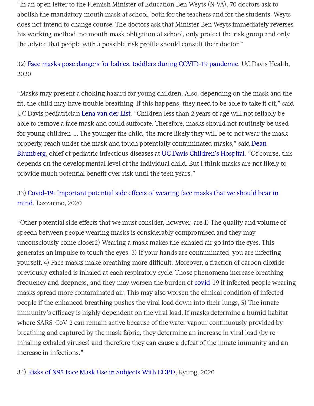"In an open letter to the Flemish Minister of Education Ben Weyts (N-VA), 70 doctors ask to abolish the mandatory mouth mask at school, both for the teachers and for the students. Weyts does not intend to change course. The doctors ask that Minister Ben Weyts immediately reverses his working method: no mouth mask obligation at school, only protect the risk group and only the advice that people with a possible risk profile should consult their doctor."

# 32) Face masks pose dangers for babies, toddlers during COVID-19 [pandemic,](https://health.ucdavis.edu/health-news/newsroom/masks-pose-dangers-for-babies-toddlers-/2020/04) UC Davis Health, 2020

"Masks may present a choking hazard for young children. Also, depending on the mask and the fit, the child may have trouble breathing. If this happens, they need to be able to take it off." said UC Davis pediatrician [Lena](https://twitter.com/drlenado?lang=en) van der List. "Children less than 2 years of age will not reliably be able to remove a face mask and could suffocate. Therefore, masks should not routinely be used for young children …. The younger the child, the more likely they will be to not wear the mask properly, reach under the mask and touch potentially contaminated masks," said Dean [Blumberg,](https://health.ucdavis.edu/team/pediatrics/497/dean-blumberg---pediatric-infectious-diseases-sacramento) chief of pediatric infectious diseases at UC Davis [Children's](https://children.ucdavis.edu/) Hospital. "Of course, this depends on the developmental level of the individual child. But I think masks are not likely to provide much potential benefit over risk until the teen years."

# 33) Covid-19: Important potential side effects of wearing face masks that we should bear in mind, [Lazzarino,](https://www.bmj.com/content/369/bmj.m2003) 2020

"Other potential side effects that we must consider, however, are 1) The quality and volume of speech between people wearing masks is considerably compromised and they may unconsciously come closer2) Wearing a mask makes the exhaled air go into the eyes. This generates an impulse to touch the eyes. 3) If your hands are contaminated, you are infecting vourself, 4) Face masks make breathing more difficult. Moreover, a fraction of carbon dioxide previously exhaled is inhaled at each respiratory cycle. Those phenomena increase breathing frequency and deepness, and they may worsen the burden of [covid-](https://www.theepochtimes.com/t-covid)19 if infected people wearing masks spread more contaminated air. This may also worsen the clinical condition of infected people if the enhanced breathing pushes the viral load down into their lungs, 5) The innate immunity's efficacy is highly dependent on the viral load. If masks determine a humid habitat where SARS-CoV-2 can remain active because of the water vapour continuously provided by breathing and captured by the mask fabric, they determine an increase in viral load (by reinhaling exhaled viruses) and therefore they can cause a defeat of the innate immunity and an increase in infections."

34) Risks of N95 Face Mask Use in [Subjects](http://rc.rcjournal.com/content/65/5/658?ijkey=be3bebb8efce2d5522cba138974e0cd41951803f&keytype2=tf_ipsecsha) With COPD, Kyung, 2020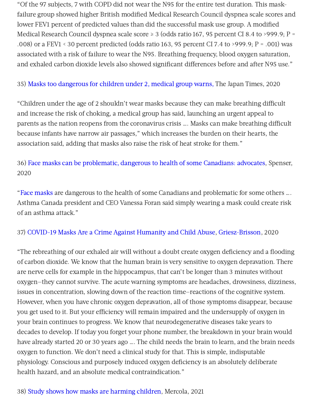"Of the 97 subjects, 7 with COPD did not wear the N95 for the entire test duration. This maskfailure group showed higher British modified Medical Research Council dyspnea scale scores and lower FEV1 percent of predicted values than did the successful mask use group. A modified Medical Research Council dyspnea scale score ≥ 3 (odds ratio 167, 95 percent CI 8.4 to >999.9; P = .008) or a FEV1 < 30 percent predicted (odds ratio 163, 95 percent CI 7.4 to >999.9; P = .001) was associated with a risk of failure to wear the N95. Breathing frequency, blood oxygen saturation, and exhaled carbon dioxide levels also showed significant differences before and after N95 use."

35) Masks too [dangerous](https://www.japantimes.co.jp/news/2020/05/27/national/masks-children-coronavirus/) for children under 2, medical group warns, The Japan Times, 2020

"Children under the age of 2 shouldn't wear masks because they can make breathing difficult and increase the risk of choking, a medical group has said, launching an urgent appeal to parents as the nation reopens from the coronavirus crisis …. Masks can make breathing difficult because infants have narrow air passages," which increases the burden on their hearts, the association said, adding that masks also raise the risk of heat stroke for them."

36) Face masks can be [problematic,](https://globalnews.ca/news/6967625/coronavirus-canada-face-masks-disabilities/) dangerous to health of some Canadians: advocates, Spenser, 2020

"Face [masks](https://globalnews.ca/tag/face-masks/) are dangerous to the health of some Canadians and problematic for some others …. Asthma Canada president and CEO Vanessa Foran said simply wearing a mask could create risk of an asthma attack."

37) COVID-19 Masks Are a Crime Against [Humanity](https://perma.cc/Q568-Y2H2) and Child Abuse, [Griesz-Brisson](https://wr.perma-archives.org/public/q568-y2h2/20210119170832mp_/https:/www.globalresearch.ca/author/margarite-griesz-brisson), 2020

"The rebreathing of our exhaled air will without a doubt create oxygen deficiency and a flooding of carbon dioxide. We know that the human brain is very sensitive to oxygen depravation. There are nerve cells for example in the hippocampus, that can't be longer than 3 minutes without oxygen—they cannot survive. The acute warning symptoms are headaches, drowsiness, dizziness, issues in concentration, slowing down of the reaction time—reactions of the cognitive system. However, when you have chronic oxygen depravation, all of those symptoms disappear, because you get used to it. But your efficiency will remain impaired and the undersupply of oxygen in your brain continues to progress. We know that neurodegenerative diseases take years to decades to develop. If today you forget your phone number, the breakdown in your brain would have already started 20 or 30 years ago …. The child needs the brain to learn, and the brain needs oxygen to function. We don't need a clinical study for that. This is simple, indisputable physiology. Conscious and purposely induced oxygen deficiency is an absolutely deliberate health hazard, and an absolute medical contraindication."

#### 38) Study shows how masks are [harming](https://www.lifesitenews.com/opinion/study-shows-how-masks-are-harming-children/) children, Mercola, 2021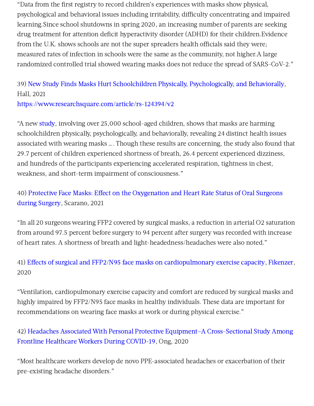"Data from the first registry to record children's experiences with masks show physical, psychological and behavioral issues including irritability, difficulty concentrating and impaired learning.Since school shutdowns in spring 2020, an increasing number of parents are seeking drug treatment for attention deficit hyperactivity disorder (ADHD) for their children.Evidence from the U.K. shows schools are not the super spreaders health officials said they were: measured rates of infection in schools were the same as the community, not higher.A large randomized controlled trial showed wearing masks does not reduce the spread of SARS-CoV-2."

# 39) New Study Finds Masks Hurt Schoolchildren Physically, [Psychologically,](https://montanadailygazette.com/2021/01/25/new-study-finds-masks-hurt-schoolchildren-physically-psychologically-and-behaviorally/) and Behaviorally, Hall, 2021

<https://www.researchsquare.com/article/rs-124394/v2>

"A new [study,](https://www.researchsquare.com/article/rs-124394/v2) involving over 25,000 school-aged children, shows that masks are harming schoolchildren physically, psychologically, and behaviorally, revealing 24 distinct health issues associated with wearing masks …. Though these results are concerning, the study also found that 29.7 percent of children experienced shortness of breath, 26.4 percent experienced dizziness, and hundreds of the participants experiencing accelerated respiration, tightness in chest, weakness, and short-term impairment of consciousness."

40) Protective Face Masks: Effect on the Oxygenation and Heart Rate Status of Oral Surgeons during Surgery, [Scarano,](https://pubmed.ncbi.nlm.nih.gov/33670983/) 2021

"In all 20 surgeons wearing FFP2 covered by surgical masks, a reduction in arterial O2 saturation from around 97.5 percent before surgery to 94 percent after surgery was recorded with increase of heart rates. A shortness of breath and light-headedness/headaches were also noted."

41) Effects of surgical and FFP2/N95 face masks on [cardiopulmonary](https://pubmed.ncbi.nlm.nih.gov/32632523/) exercise capacity, [Fikenzer](https://pubmed.ncbi.nlm.nih.gov/?term=Fikenzer+S&cauthor_id=32632523), 2020

"Ventilation, cardiopulmonary exercise capacity and comfort are reduced by surgical masks and highly impaired by FFP2/N95 face masks in healthy individuals. These data are important for recommendations on wearing face masks at work or during physical exercise."

42) Headaches Associated With Personal Protective Equipment—A Cross-Sectional Study Among Frontline [Healthcare](https://headachejournal.onlinelibrary.wiley.com/doi/full/10.1111/head.13811) Workers During COVID-19, Ong, 2020

"Most healthcare workers develop de novo PPE-associated headaches or exacerbation of their pre-existing headache disorders."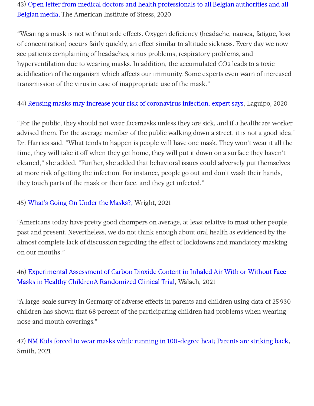43) Open letter from medical doctors and health professionals to all Belgian authorities and all Belgian media, The [American](https://www.stress.org/open-letter-from-medical-doctors-and-health-professionals-to-all-belgian-authorities-and-all-belgian-media) Institute of Stress, 2020

"Wearing a mask is not without side effects. Oxygen deficiency (headache, nausea, fatigue, loss of concentration) occurs fairly quickly, an effect similar to altitude sickness. Every day we now see patients complaining of headaches, sinus problems, respiratory problems, and hyperventilation due to wearing masks. In addition, the accumulated CO2 leads to a toxic acidification of the organism which affects our immunity. Some experts even warn of increased transmission of the virus in case of inappropriate use of the mask."

44) Reusing masks may increase your risk of [coronavirus](https://www.news-medical.net/news/20200315/Reusing-masks-may-increase-your-risk-of-coronavirus-infection-expert-says.aspx) infection, expert says, Laguipo, 2020

"For the public, they should not wear facemasks unless they are sick, and if a healthcare worker advised them. For the average member of the public walking down a street, it is not a good idea," Dr. Harries said. "What tends to happen is people will have one mask. They won't wear it all the time, they will take it off when they get home, they will put it down on a surface they haven't cleaned," she added. "Further, she added that behavioral issues could adversely put themselves at more risk of getting the infection. For instance, people go out and don't wash their hands, they touch parts of the mask or their face, and they get infected."

#### 45) What's Going On Under the [Masks?,](https://www.aier.org/article/whats-going-on-under-the-masks/) Wright, 2021

"Americans today have pretty good chompers on average, at least relative to most other people, past and present. Nevertheless, we do not think enough about oral health as evidenced by the almost complete lack of discussion regarding the effect of lockdowns and mandatory masking on our mouths."

# 46) Experimental Assessment of Carbon Dioxide Content in Inhaled Air With or Without Face Masks in Healthy ChildrenA [Randomized](https://jamanetwork.com/journals/jamapediatrics/fullarticle/2781743#pld210019f1) Clinical Trial, Walach, 2021

"A large-scale survey in Germany of adverse effects in parents and children using data of 25 930 children has shown that 68 percent of the participating children had problems when wearing nose and mouth coverings."

47) NM Kids forced to wear masks while running in [100-degree](https://pinonpost.com/nm-kids-forced-to-wear-masks-while-running-in-100-degree-heat-parents-are-striking-back/?fbclid=IwAR3OxxThECQcNaK1EpCUSLmseN4nJErY-K0C0RyUrUT58sfQp7TzUDvhpf8) heat; Parents are striking back, Smith, 2021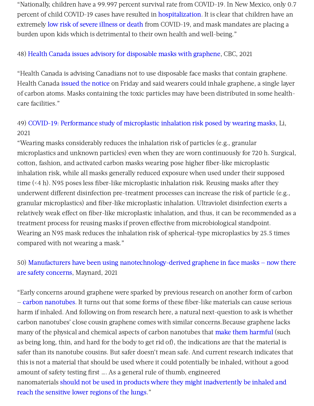"Nationally, children have a 99.997 percent survival rate from COVID-19. In New Mexico, only 0.7 percent of child COVID-19 cases have resulted in [hospitalization](https://cv.nmhealth.org/wp-content/uploads/2021/06/COVID19-pediatric-hospitalization-report_06_21_2021.pdf). It is clear that children have an extremely low risk of severe [illness](https://services.aap.org/en/pages/2019-novel-coronavirus-covid-19-infections/children-and-covid-19-state-level-data-report/) or death from COVID-19, and mask mandates are placing a burden upon kids which is detrimental to their own health and well-being."

#### 48) Health Canada issues advisory for [disposable](https://www.cbc.ca/news/canada/new-brunswick/health-canada-disposable-1.5974867) masks with graphene, CBC, 2021

"Health Canada is advising Canadians not to use disposable face masks that contain graphene. Health Canada [issued](https://healthycanadians.gc.ca/recall-alert-rappel-avis/hc-sc/2021/75309a-eng.php) the notice on Friday and said wearers could inhale graphene, a single layer of carbon atoms. Masks containing the toxic particles may have been distributed in some healthcare facilities."

# 49) COVID-19: [Performance](https://www.sciencedirect.com/science/article/pii/S0304389420329460?dgcid=rss_sd_all) study of microplastic inhalation risk posed by wearing masks, Li, 2021

"Wearing masks considerably reduces the inhalation risk of particles (e.g., granular microplastics and unknown particles) even when they are worn continuously for 720 h. Surgical, cotton, fashion, and activated carbon masks wearing pose higher fiber-like microplastic inhalation risk, while all masks generally reduced exposure when used under their supposed time (<4 h). N95 poses less fiber-like microplastic inhalation risk. Reusing masks after they underwent different disinfection pre-treatment processes can increase the risk of particle (e.g., granular microplastics) and fiber-like microplastic inhalation. Ultraviolet disinfection exerts a relatively weak effect on fiber-like microplastic inhalation, and thus, it can be recommended as a treatment process for reusing masks if proven effective from microbiological standpoint. Wearing an N95 mask reduces the inhalation risk of spherical-type microplastics by 25.5 times compared with not wearing a mask."

# 50) Manufacturers have been using [nanotechnology-derived](https://medium.com/edge-of-innovation/how-safe-are-graphene-based-face-masks-b88740547e8c) graphene in face masks — now there are safety concerns, Maynard, 2021

"Early concerns around graphene were sparked by previous research on another form of carbon — carbon [nanotubes](https://www.nature.com/news/2008/080520/full/news.2008.845.html). It turns out that some forms of these fiber-like materials can cause serious harm if inhaled. And following on from research here, a natural next-question to ask is whether carbon nanotubes' close cousin graphene comes with similar concerns.Because graphene lacks many of the physical and chemical aspects of carbon nanotubes that make them [harmful](https://doi.org/10.1186/1743-8977-7-5) (such as being long, thin, and hard for the body to get rid of), the indications are that the material is safer than its nanotube cousins. But safer doesn't mean safe. And current research indicates that this is not a material that should be used where it could potentially be inhaled, without a good amount of safety testing first …. As a general rule of thumb, engineered [nanomaterials](https://therealandrewmaynard.com/2021/04/02/assessing-nanoparticle-risks-to-human-health/) should not be used in products where they might inadvertently be inhaled and reach the sensitive lower regions of the lungs."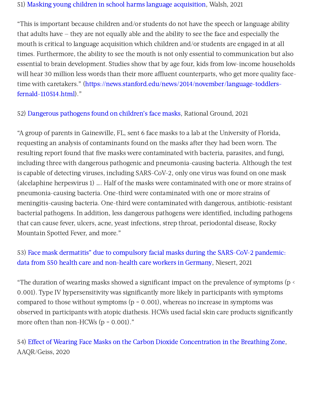#### 51) Masking young children in school harms language [acquisition,](https://www.americanthinker.com/blog/2021/09/masking_young_children_in_school_harms_language_acquisition.html) Walsh, 2021

"This is important because children and/or students do not have the speech or language ability that adults have — they are not equally able and the ability to see the face and especially the mouth is critical to language acquisition which children and/or students are engaged in at all times. Furthermore, the ability to see the mouth is not only essential to communication but also essential to brain development. Studies show that by age four, kids from low-income households will hear 30 million less words than their more affluent counterparts, who get more quality facetime with caretakers." [\(https://news.stanford.edu/news/2014/november/language-toddlers](https://news.stanford.edu/news/2014/november/language-toddlers-fernald-110514.html)fernald-110514.html)."

52) [Dangerous](https://rationalground.com/dangerous-pathogens-found-on-childrens-face-masks/) pathogens found on children's face masks, Rational Ground, 2021

"A group of parents in Gainesville, FL, sent 6 face masks to a lab at the University of Florida, requesting an analysis of contaminants found on the masks after they had been worn. The resulting report found that five masks were contaminated with bacteria, parasites, and fungi, including three with dangerous pathogenic and pneumonia-causing bacteria. Although the test is capable of detecting viruses, including SARS-CoV-2, only one virus was found on one mask (alcelaphine herpesvirus 1) …. Half of the masks were contaminated with one or more strains of pneumonia-causing bacteria. One-third were contaminated with one or more strains of meningitis-causing bacteria. One-third were contaminated with dangerous, antibiotic-resistant bacterial pathogens. In addition, less dangerous pathogens were identified, including pathogens that can cause fever, ulcers, acne, yeast infections, strep throat, periodontal disease, Rocky Mountain Spotted Fever, and more."

# 53) Face mask dermatitis" due to compulsory facial masks during the SARS-CoV-2 pandemic: data from 550 health care and [non-health](https://pubmed.ncbi.nlm.nih.gov/33814358/) care workers in Germany, Niesert, 2021

"The duration of wearing masks showed a significant impact on the prevalence of symptoms (p < 0.001). Type IV hypersensitivity was significantly more likely in participants with symptoms compared to those without symptoms ( $p = 0.001$ ), whereas no increase in symptoms was observed in participants with atopic diathesis. HCWs used facial skin care products significantly more often than non-HCWs  $(p = 0.001)$ ."

54) Effect of Wearing Face Masks on the Carbon Dioxide [Concentration](https://aaqr.org/articles/aaqr-20-07-covid-0403.pdf) in the Breathing Zone, AAQR/Geiss, 2020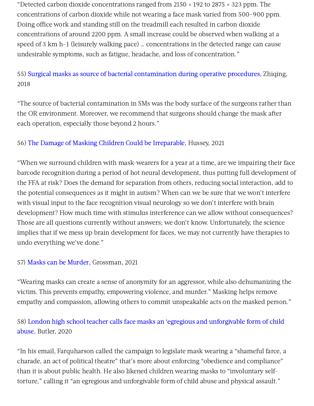"Detected carbon dioxide concentrations ranged from 2150  $\pm$  192 to 2875  $\pm$  323 ppm. The concentrations of carbon dioxide while not wearing a face mask varied from 500–900 ppm. Doing office work and standing still on the treadmill each resulted in carbon dioxide concentrations of around 2200 ppm. A small increase could be observed when walking at a speed of 3 km h–1 (leisurely walking pace) … concentrations in the detected range can cause undesirable symptoms, such as fatigue, headache, and loss of concentration."

55) Surgical masks as source of bacterial [contamination](https://www.sciencedirect.com/science/article/pii/S2214031X18300809) during operative procedures, Zhiqing, 2018

"The source of bacterial contamination in SMs was the body surface of the surgeons rather than the OR environment. Moreover, we recommend that surgeons should change the mask after each operation, especially those beyond 2 hours."

#### 56) The Damage of Masking Children Could be [Irreparable,](https://brownstone.org/articles/the-damage-of-masking-children-could-be-irreparable/) Hussey, 2021

"When we surround children with mask-wearers for a year at a time, are we impairing their face barcode recognition during a period of hot neural development, thus putting full development of the FFA at risk? Does the demand for separation from others, reducing social interaction, add to the potential consequences as it might in autism? When can we be sure that we won't interfere with visual input to the face recognition visual neurology so we don't interfere with brain development? How much time with stimulus interference can we allow without consequences? Those are all questions currently without answers; we don't know. Unfortunately, the science implies that if we mess up brain development for faces, we may not currently have therapies to undo everything we've done."

#### 57) Masks can be [Murder,](https://www.americanthinker.com/articles/2021/01/masks_can_be_murder.html) Grossman, 2021

"Wearing masks can create a sense of anonymity for an aggressor, while also dehumanizing the victim. This prevents empathy, empowering violence, and murder." Masking helps remove empathy and compassion, allowing others to commit unspeakable acts on the masked person."

# 58) London high school teacher calls face masks an 'egregious and [unforgivable](https://www.cbc.ca/news/canada/london/beal-teacher-masks-1.5739327) form of child abuse, Butler, 2020

"In his email, Farquharson called the campaign to legislate mask wearing a "shameful farce, a charade, an act of political theatre" that's more about enforcing "obedience and compliance" than it is about public health. He also likened children wearing masks to "involuntary selftorture," calling it "an egregious and unforgivable form of child abuse and physical assault."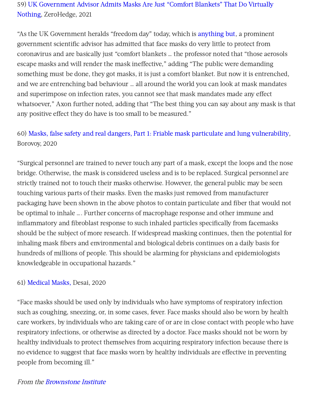# 59) UK Government Advisor Admits Masks Are Just "Comfort Blankets" That Do Virtually Nothing, [ZeroHedge,](https://www.zerohedge.com/covid-19/uk-government-advisor-admits-masks-are-just-comfort-blankets-do-virtually-nothing) 2021

"As the UK Government heralds "freedom day" today, which is [anything](https://summit.news/2021/07/13/confirmed-uks-return-to-freedom-will-see-continued-use-of-masks-government-tracking-and-introduction-of-vaccine-passports/) but, a prominent government scientific advisor has admitted that face masks do very little to protect from coronavirus and are basically just "comfort blankets … the professor noted that "those aerosols escape masks and will render the mask ineffective." adding "The public were demanding something must be done, they got masks, it is just a comfort blanket. But now it is entrenched, and we are entrenching bad behaviour … all around the world you can look at mask mandates and superimpose on infection rates, you cannot see that mask mandates made any effect whatsoever," Axon further noted, adding that "The best thing you can say about any mask is that any positive effect they do have is too small to be measured."

# 60) Masks, false safety and real dangers, Part 1: Friable mask particulate and lung [vulnerability,](https://childrenshealthdefense.org/wp-content/uploads/Masks-false-safety-and-real-dangers-Part-1-Friable-mask-particulate-and-lung-vulnerability.pdf) Borovoy, 2020

"Surgical personnel are trained to never touch any part of a mask, except the loops and the nose bridge. Otherwise, the mask is considered useless and is to be replaced. Surgical personnel are strictly trained not to touch their masks otherwise. However, the general public may be seen touching various parts of their masks. Even the masks just removed from manufacturer packaging have been shown in the above photos to contain particulate and fiber that would not be optimal to inhale …. Further concerns of macrophage response and other immune and inflammatory and fibroblast response to such inhaled particles specifically from facemasks should be the subject of more research. If widespread masking continues, then the potential for inhaling mask fibers and environmental and biological debris continues on a daily basis for hundreds of millions of people. This should be alarming for physicians and epidemiologists knowledgeable in occupational hazards."

#### 61) [Medical](https://jamanetwork.com/journals/jama/fullarticle/2762694) Masks, Desai, 2020

"Face masks should be used only by individuals who have symptoms of respiratory infection such as coughing, sneezing, or, in some cases, fever. Face masks should also be worn by health care workers, by individuals who are taking care of or are in close contact with people who have respiratory infections, or otherwise as directed by a doctor. Face masks should not be worn by healthy individuals to protect themselves from acquiring respiratory infection because there is no evidence to suggest that face masks worn by healthy individuals are effective in preventing people from becoming ill."

#### From the [Brownstone](https://brownstone.org/articles/more-than-150-comparative-studies-and-articles-on-mask-ineffectiveness-and-harms/) Institute